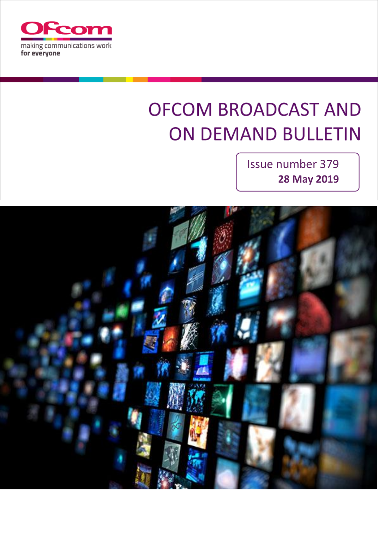

# **OFCOM BROADCAST AND ON DEMAND BULLETIN**

Issue number 379 **28 May 2019**

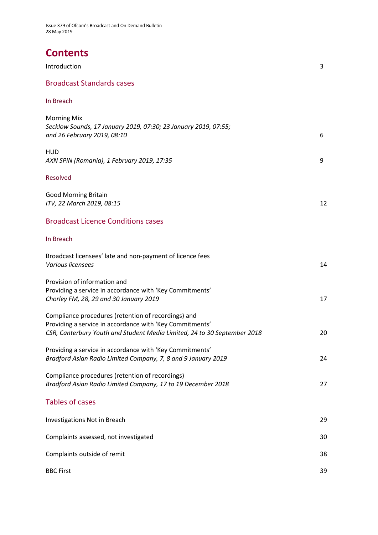Issue 379 of Ofcom's Broadcast and On Demand Bulletin 28 May 2019

# **Contents**

| Introduction                                                                                                                                                                                | 3  |
|---------------------------------------------------------------------------------------------------------------------------------------------------------------------------------------------|----|
| <b>Broadcast Standards cases</b>                                                                                                                                                            |    |
| In Breach                                                                                                                                                                                   |    |
| <b>Morning Mix</b><br>Secklow Sounds, 17 January 2019, 07:30; 23 January 2019, 07:55;<br>and 26 February 2019, 08:10                                                                        | 6  |
| HUD<br>AXN SPiN (Romania), 1 February 2019, 17:35                                                                                                                                           | 9  |
| Resolved                                                                                                                                                                                    |    |
| <b>Good Morning Britain</b><br>ITV, 22 March 2019, 08:15                                                                                                                                    | 12 |
| <b>Broadcast Licence Conditions cases</b>                                                                                                                                                   |    |
| In Breach                                                                                                                                                                                   |    |
| Broadcast licensees' late and non-payment of licence fees<br>Various licensees                                                                                                              | 14 |
| Provision of information and<br>Providing a service in accordance with 'Key Commitments'<br>Chorley FM, 28, 29 and 30 January 2019                                                          | 17 |
| Compliance procedures (retention of recordings) and<br>Providing a service in accordance with 'Key Commitments'<br>CSR, Canterbury Youth and Student Media Limited, 24 to 30 September 2018 | 20 |
| Providing a service in accordance with 'Key Commitments'<br>Bradford Asian Radio Limited Company, 7, 8 and 9 January 2019                                                                   | 24 |
| Compliance procedures (retention of recordings)<br>Bradford Asian Radio Limited Company, 17 to 19 December 2018                                                                             | 27 |
| <b>Tables of cases</b>                                                                                                                                                                      |    |
| <b>Investigations Not in Breach</b>                                                                                                                                                         | 29 |
| Complaints assessed, not investigated                                                                                                                                                       | 30 |
| Complaints outside of remit                                                                                                                                                                 | 38 |

BBC First 39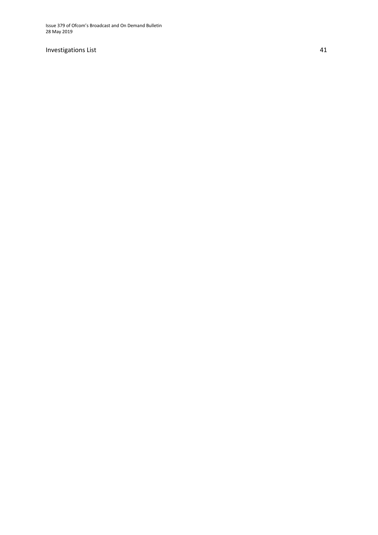Issue 379 of Ofcom's Broadcast and On Demand Bulletin 28 May 2019

#### Investigations List

4 1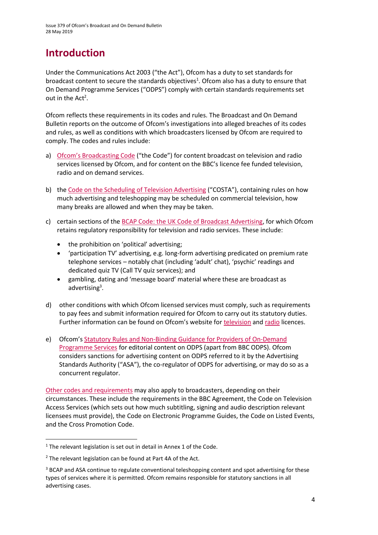# **Introduction**

Under the Communications Act 2003 ("the Act"), Ofcom has a duty to set standards for broadcast content to secure the standards objectives<sup>1</sup>. Ofcom also has a duty to ensure that On Demand Programme Services ("ODPS") comply with certain standards requirements set out in the  $Act^2$ .

Ofcom reflects these requirements in its codes and rules. The Broadcast and On Demand Bulletin reports on the outcome of Ofcom's investigations into alleged breaches of its codes and rules, as well as conditions with which broadcasters licensed by Ofcom are required to comply. The codes and rules include:

- a) [Ofcom's Broadcasting Code](http://stakeholders.ofcom.org.uk/broadcasting/broadcast-codes/broadcast-code/) ("the Code") for content broadcast on television and radio services licensed by Ofcom, and for content on the BBC's licence fee funded television, radio and on demand services.
- b) the [Code on the Scheduling of Television Advertising](https://www.ofcom.org.uk/__data/assets/pdf_file/0014/32162/costa-april-2016.pdf) ("COSTA"), containing rules on how much advertising and teleshopping may be scheduled on commercial television, how many breaks are allowed and when they may be taken.
- c) certain sections of th[e BCAP Code: the UK Code of Broadcast Advertising,](https://www.asa.org.uk/codes-and-rulings/advertising-codes/broadcast-code.html) for which Ofcom retains regulatory responsibility for television and radio services. These include:
	- the prohibition on 'political' advertising;
	- 'participation TV' advertising, e.g. long-form advertising predicated on premium rate telephone services – notably chat (including 'adult' chat), 'psychic' readings and dedicated quiz TV (Call TV quiz services); and
	- gambling, dating and 'message board' material where these are broadcast as advertising<sup>3</sup>.
- d) other conditions with which Ofcom licensed services must comply, such as requirements to pay fees and submit information required for Ofcom to carry out its statutory duties. Further information can be found on Ofcom's website for [television](http://licensing.ofcom.org.uk/tv-broadcast-licences/) and [radio](http://licensing.ofcom.org.uk/radio-broadcast-licensing/) licences.
- e) Ofcom's [Statutory Rules and Non-Binding Guidance for Providers of On-Demand](http://stakeholders.ofcom.org.uk/binaries/broadcast/on-demand/rules-guidance/rules_and_guidance.pdf)  [Programme Services](http://stakeholders.ofcom.org.uk/binaries/broadcast/on-demand/rules-guidance/rules_and_guidance.pdf) for editorial content on ODPS (apart from BBC ODPS). Ofcom considers sanctions for advertising content on ODPS referred to it by the Advertising Standards Authority ("ASA"), the co-regulator of ODPS for advertising, or may do so as a concurrent regulator.

[Other codes and requirements](http://stakeholders.ofcom.org.uk/broadcasting/broadcast-codes/) may also apply to broadcasters, depending on their circumstances. These include the requirements in the BBC Agreement, the Code on Television Access Services (which sets out how much subtitling, signing and audio description relevant licensees must provide), the Code on Electronic Programme Guides, the Code on Listed Events, and the Cross Promotion Code.

**.** 

<sup>&</sup>lt;sup>1</sup> The relevant legislation is set out in detail in Annex 1 of the Code.

<sup>&</sup>lt;sup>2</sup> The relevant legislation can be found at Part 4A of the Act.

<sup>&</sup>lt;sup>3</sup> BCAP and ASA continue to regulate conventional teleshopping content and spot advertising for these types of services where it is permitted. Ofcom remains responsible for statutory sanctions in all advertising cases.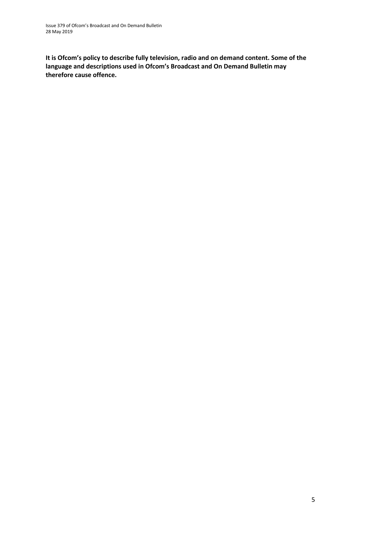**It is Ofcom's policy to describe fully television, radio and on demand content. Some of the language and descriptions used in Ofcom's Broadcast and On Demand Bulletin may therefore cause offence.**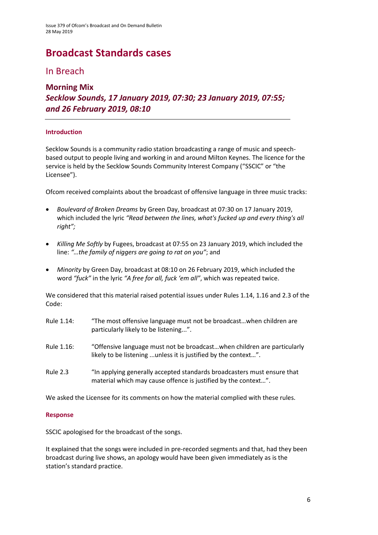# **Broadcast Standards cases**

### In Breach

**Morning Mix**

### *Secklow Sounds, 17 January 2019, 07:30; 23 January 2019, 07:55; and 26 February 2019, 08:10*

#### **Introduction**

Secklow Sounds is a community radio station broadcasting a range of music and speechbased output to people living and working in and around Milton Keynes. The licence for the service is held by the Secklow Sounds Community Interest Company ("SSCIC" or "the Licensee").

Ofcom received complaints about the broadcast of offensive language in three music tracks:

- *Boulevard of Broken Dreams* by Green Day, broadcast at 07:30 on 17 January 2019, which included the lyric *"Read between the lines, what's fucked up and every thing's all right";*
- *Killing Me Softly* by Fugees, broadcast at 07:55 on 23 January 2019, which included the line: *"…the family of niggers are going to rat on you"*; and
- *Minority* by Green Day, broadcast at 08:10 on 26 February 2019, which included the word *"fuck"* in the lyric *"A free for all, fuck 'em all"*, which was repeated twice.

We considered that this material raised potential issues under Rules 1.14, 1.16 and 2.3 of the Code:

- Rule 1.14: "The most offensive language must not be broadcast…when children are particularly likely to be listening...".
- Rule 1.16: "Offensive language must not be broadcast…when children are particularly likely to be listening ...unless it is justified by the context…".
- Rule 2.3 "In applying generally accepted standards broadcasters must ensure that material which may cause offence is justified by the context…".

We asked the Licensee for its comments on how the material complied with these rules.

#### **Response**

SSCIC apologised for the broadcast of the songs.

It explained that the songs were included in pre-recorded segments and that, had they been broadcast during live shows, an apology would have been given immediately as is the station's standard practice.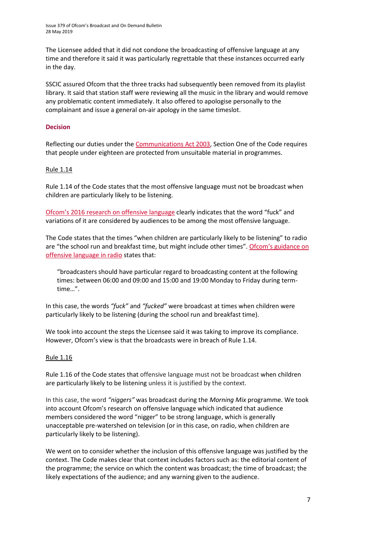The Licensee added that it did not condone the broadcasting of offensive language at any time and therefore it said it was particularly regrettable that these instances occurred early in the day.

SSCIC assured Ofcom that the three tracks had subsequently been removed from its playlist library. It said that station staff were reviewing all the music in the library and would remove any problematic content immediately. It also offered to apologise personally to the complainant and issue a general on-air apology in the same timeslot.

#### **Decision**

Reflecting our duties under th[e Communications Act 2003,](http://www.legislation.gov.uk/ukpga/2003/21/section/319) Section One of the Code requires that people under eighteen are protected from unsuitable material in programmes.

#### Rule 1.14

Rule 1.14 of the Code states that the most offensive language must not be broadcast when children are particularly likely to be listening.

Ofcom's 2016 [research on offensive language](https://www.ofcom.org.uk/__data/assets/pdf_file/0022/91624/OfcomOffensiveLanguage.pdf) clearly indicates that the word "fuck" and variations of it are considered by audiences to be among the most offensive language.

The Code states that the times "when children are particularly likely to be listening" to radio are "the school run and breakfast time, but might include other times". Ofcom's guidance on [offensive language in radio](https://www.ofcom.org.uk/__data/assets/pdf_file/0014/40541/offensive-language.pdf) states that:

"broadcasters should have particular regard to broadcasting content at the following times: between 06:00 and 09:00 and 15:00 and 19:00 Monday to Friday during termtime…".

In this case, the words *"fuck"* and *"fucked"* were broadcast at times when children were particularly likely to be listening (during the school run and breakfast time).

We took into account the steps the Licensee said it was taking to improve its compliance. However, Ofcom's view is that the broadcasts were in breach of Rule 1.14.

#### Rule 1.16

Rule 1.16 of the Code states that offensive language must not be broadcast when children are particularly likely to be listening unless it is justified by the context.

In this case, the word *"niggers"* was broadcast during the *Morning Mix* programme. We took into account Ofcom's research on offensive language which indicated that audience members considered the word "nigger" to be strong language, which is generally unacceptable pre-watershed on television (or in this case, on radio, when children are particularly likely to be listening).

We went on to consider whether the inclusion of this offensive language was justified by the context. The Code makes clear that context includes factors such as: the editorial content of the programme; the service on which the content was broadcast; the time of broadcast; the likely expectations of the audience; and any warning given to the audience.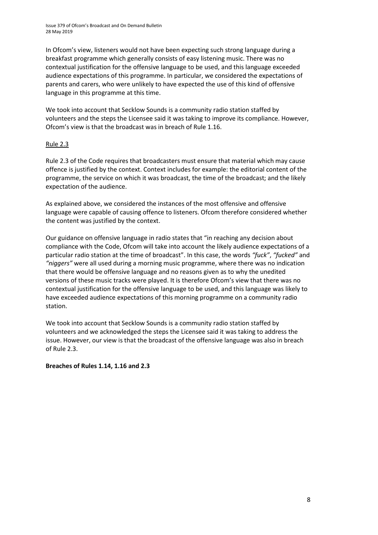In Ofcom's view, listeners would not have been expecting such strong language during a breakfast programme which generally consists of easy listening music. There was no contextual justification for the offensive language to be used, and this language exceeded audience expectations of this programme. In particular, we considered the expectations of parents and carers, who were unlikely to have expected the use of this kind of offensive language in this programme at this time.

We took into account that Secklow Sounds is a community radio station staffed by volunteers and the steps the Licensee said it was taking to improve its compliance. However, Ofcom's view is that the broadcast was in breach of Rule 1.16.

#### Rule 2.3

Rule 2.3 of the Code requires that broadcasters must ensure that material which may cause offence is justified by the context. Context includes for example: the editorial content of the programme, the service on which it was broadcast, the time of the broadcast; and the likely expectation of the audience.

As explained above, we considered the instances of the most offensive and offensive language were capable of causing offence to listeners. Ofcom therefore considered whether the content was justified by the context.

Our guidance on offensive language in radio states that "in reaching any decision about compliance with the Code, Ofcom will take into account the likely audience expectations of a particular radio station at the time of broadcast". In this case, the words *"fuck"*, *"fucked"* and *"niggers"* were all used during a morning music programme, where there was no indication that there would be offensive language and no reasons given as to why the unedited versions of these music tracks were played. It is therefore Ofcom's view that there was no contextual justification for the offensive language to be used, and this language was likely to have exceeded audience expectations of this morning programme on a community radio station.

We took into account that Secklow Sounds is a community radio station staffed by volunteers and we acknowledged the steps the Licensee said it was taking to address the issue. However, our view is that the broadcast of the offensive language was also in breach of Rule 2.3.

**Breaches of Rules 1.14, 1.16 and 2.3**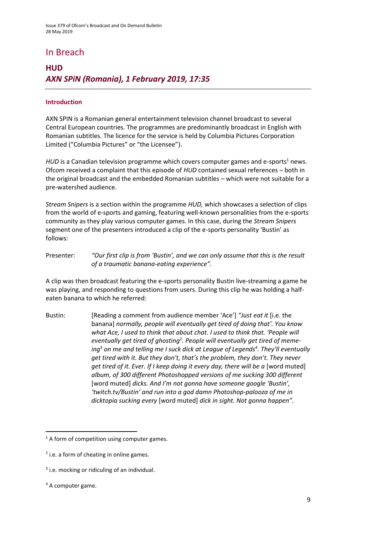# In Breach

# **HUD** *AXN SPiN (Romania), 1 February 2019, 17:35*

#### **Introduction**

AXN SPIN is a Romanian general entertainment television channel broadcast to several Central European countries. The programmes are predominantly broadcast in English with Romanian subtitles. The licence for the service is held by Columbia Pictures Corporation Limited ("Columbia Pictures" or "the Licensee").

*HUD* is a Canadian television programme which covers computer games and e-sports<sup>1</sup> news. Ofcom received a complaint that this episode of *HUD* contained sexual references – both in the original broadcast and the embedded Romanian subtitles – which were not suitable for a pre-watershed audience.

*Stream Snipers* is a section within the programme *HUD,* which showcases a selection of clips from the world of e-sports and gaming, featuring well-known personalities from the e-sports community as they play various computer games. In this case, during the *Stream Snipers* segment one of the presenters introduced a clip of the e-sports personality 'Bustin' as follows:

Presenter: *"Our first clip is from 'Bustin', and we can only assume that this is the result of a traumatic banana-eating experience".*

A clip was then broadcast featuring the e-sports personality Bustin live-streaming a game he was playing, and responding to questions from users. During this clip he was holding a halfeaten banana to which he referred:

Bustin: [Reading a comment from audience member 'Ace'] *"Just eat it* [i.e. the banana] *normally, people will eventually get tired of doing that'. You know what Ace, I used to think that about chat. I used to think that. 'People will eventually get tired of ghosting*<sup>2</sup> *. People will eventually get tired of meme*ing<sup>3</sup> on me and telling me I suck dick at League of Legends<sup>4</sup>. They'll eventually *get tired with it. But they don't, that's the problem, they don't. They never get tired of it. Ever. If I keep doing it every day, there will be a [word muted] album, of 300 different Photoshopped versions of me sucking 300 different*  [word muted] *dicks. And I'm not gonna have someone google 'Bustin', 'twitch.tv/Bustin' and run into a god damn Photoshop-palooza of me in dicktopia sucking every* [word muted] *dick in sight. Not gonna happen".*

<sup>4</sup> A computer game.

**.** 

 $1$  A form of competition using computer games.

<sup>&</sup>lt;sup>2</sup> i.e. a form of cheating in online games.

<sup>&</sup>lt;sup>3</sup> i.e. mocking or ridiculing of an individual.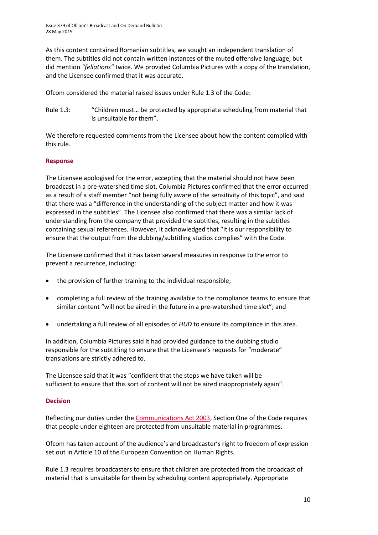As this content contained Romanian subtitles, we sought an independent translation of them. The subtitles did not contain written instances of the muted offensive language, but did mention *"fellations"* twice. We provided Columbia Pictures with a copy of the translation, and the Licensee confirmed that it was accurate.

Ofcom considered the material raised issues under Rule 1.3 of the Code:

Rule 1.3: "Children must… be protected by appropriate scheduling from material that is unsuitable for them".

We therefore requested comments from the Licensee about how the content complied with this rule.

#### **Response**

The Licensee apologised for the error, accepting that the material should not have been broadcast in a pre-watershed time slot. Columbia Pictures confirmed that the error occurred as a result of a staff member "not being fully aware of the sensitivity of this topic", and said that there was a "difference in the understanding of the subject matter and how it was expressed in the subtitles". The Licensee also confirmed that there was a similar lack of understanding from the company that provided the subtitles, resulting in the subtitles containing sexual references. However, it acknowledged that "it is our responsibility to ensure that the output from the dubbing/subtitling studios complies" with the Code.

The Licensee confirmed that it has taken several measures in response to the error to prevent a recurrence, including:

- the provision of further training to the individual responsible;
- completing a full review of the training available to the compliance teams to ensure that similar content "will not be aired in the future in a pre-watershed time slot"; and
- undertaking a full review of all episodes of *HUD* to ensure its compliance in this area.

In addition, Columbia Pictures said it had provided guidance to the dubbing studio responsible for the subtitling to ensure that the Licensee's requests for "moderate" translations are strictly adhered to.

The Licensee said that it was "confident that the steps we have taken will be sufficient to ensure that this sort of content will not be aired inappropriately again".

#### **Decision**

Reflecting our duties under th[e Communications Act 2003,](http://www.legislation.gov.uk/ukpga/2003/21/section/319) Section One of the Code requires that people under eighteen are protected from unsuitable material in programmes.

Ofcom has taken account of the audience's and broadcaster's right to freedom of expression set out in Article 10 of the European Convention on Human Rights.

Rule 1.3 requires broadcasters to ensure that children are protected from the broadcast of material that is unsuitable for them by scheduling content appropriately. Appropriate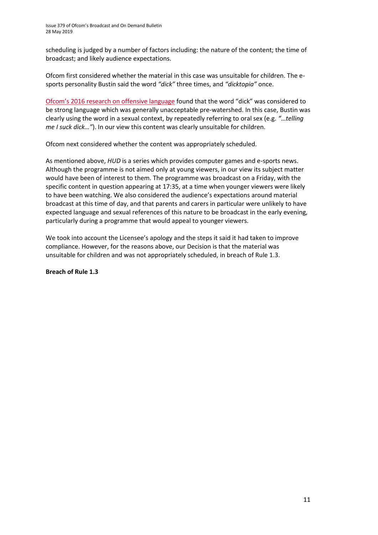scheduling is judged by a number of factors including: the nature of the content; the time of broadcast; and likely audience expectations.

Ofcom first considered whether the material in this case was unsuitable for children. The esports personality Bustin said the word *"dick"* three times, and *"dicktopia"* once.

[Ofcom's 2016 research on offensive language](https://www.ofcom.org.uk/__data/assets/pdf_file/0023/91625/OfcomQRG-AOC.pdf) found that the word "dick" was considered to be strong language which was generally unacceptable pre-watershed. In this case, Bustin was clearly using the word in a sexual context, by repeatedly referring to oral sex (e.g. *"*…*telling me I suck dick…"*). In our view this content was clearly unsuitable for children.

Ofcom next considered whether the content was appropriately scheduled.

As mentioned above, *HUD* is a series which provides computer games and e-sports news. Although the programme is not aimed only at young viewers, in our view its subject matter would have been of interest to them. The programme was broadcast on a Friday, with the specific content in question appearing at 17:35, at a time when younger viewers were likely to have been watching. We also considered the audience's expectations around material broadcast at this time of day, and that parents and carers in particular were unlikely to have expected language and sexual references of this nature to be broadcast in the early evening, particularly during a programme that would appeal to younger viewers.

We took into account the Licensee's apology and the steps it said it had taken to improve compliance. However, for the reasons above, our Decision is that the material was unsuitable for children and was not appropriately scheduled, in breach of Rule 1.3.

#### **Breach of Rule 1.3**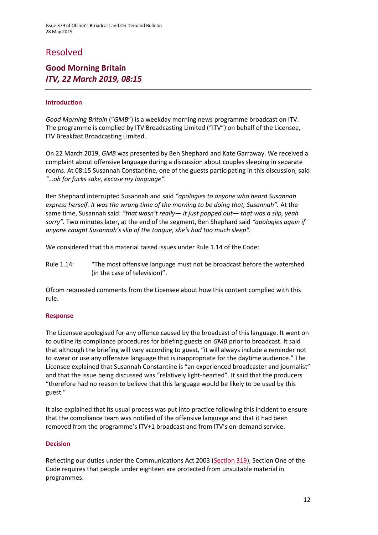# Resolved

### **Good Morning Britain** *ITV, 22 March 2019, 08:15*

#### **Introduction**

*Good Morning Britain* ("*GMB*") is a weekday morning news programme broadcast on ITV. The programme is complied by ITV Broadcasting Limited ("ITV") on behalf of the Licensee, ITV Breakfast Broadcasting Limited.

On 22 March 2019, *GMB* was presented by Ben Shephard and Kate Garraway. We received a complaint about offensive language during a discussion about couples sleeping in separate rooms. At 08:15 Susannah Constantine, one of the guests participating in this discussion, said *"…oh for fucks sake, excuse my language".*

Ben Shephard interrupted Susannah and said *"apologies to anyone who heard Susannah express herself. It was the wrong time of the morning to be doing that, Susannah".* At the same time, Susannah said: *"that wasn't really— it just popped out— that was a slip, yeah sorry".* Two minutes later, at the end of the segment, Ben Shephard said *"apologies again if anyone caught Susannah's slip of the tongue, she's had too much sleep".*

We considered that this material raised issues under Rule 1.14 of the Code:

Rule 1.14: "The most offensive language must not be broadcast before the watershed (in the case of television)".

Ofcom requested comments from the Licensee about how this content complied with this rule.

#### **Response**

The Licensee apologised for any offence caused by the broadcast of this language. It went on to outline its compliance procedures for briefing guests on *GMB* prior to broadcast. It said that although the briefing will vary according to guest, "it will always include a reminder not to swear or use any offensive language that is inappropriate for the daytime audience." The Licensee explained that Susannah Constantine is "an experienced broadcaster and journalist" and that the issue being discussed was "relatively light-hearted". It said that the producers "therefore had no reason to believe that this language would be likely to be used by this guest."

It also explained that its usual process was put into practice following this incident to ensure that the compliance team was notified of the offensive language and that it had been removed from the programme's ITV+1 broadcast and from ITV's on-demand service.

#### **Decision**

Reflecting our duties under the Communications Act 2003 [\(Section 319\)](http://www.legislation.gov.uk/ukpga/2003/21/section/319), Section One of the Code requires that people under eighteen are protected from unsuitable material in programmes.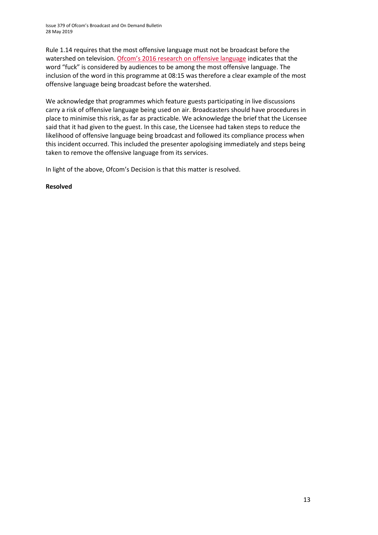Rule 1.14 requires that the most offensive language must not be broadcast before the watershed on television. [Ofcom's 2016 research on offensive language](https://www.ofcom.org.uk/__data/assets/pdf_file/0022/91624/OfcomOffensiveLanguage.pdf) indicates that the word "fuck" is considered by audiences to be among the most offensive language. The inclusion of the word in this programme at 08:15 was therefore a clear example of the most offensive language being broadcast before the watershed.

We acknowledge that programmes which feature guests participating in live discussions carry a risk of offensive language being used on air. Broadcasters should have procedures in place to minimise this risk, as far as practicable. We acknowledge the brief that the Licensee said that it had given to the guest. In this case, the Licensee had taken steps to reduce the likelihood of offensive language being broadcast and followed its compliance process when this incident occurred. This included the presenter apologising immediately and steps being taken to remove the offensive language from its services.

In light of the above, Ofcom's Decision is that this matter is resolved.

#### **Resolved**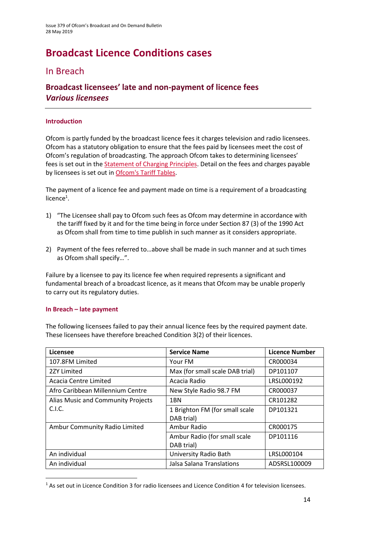# **Broadcast Licence Conditions cases**

# In Breach

### **Broadcast licensees' late and non-payment of licence fees** *Various licensees*

#### **Introduction**

Ofcom is partly funded by the broadcast licence fees it charges television and radio licensees. Ofcom has a statutory obligation to ensure that the fees paid by licensees meet the cost of Ofcom's regulation of broadcasting. The approach Ofcom takes to determining licensees' fees is set out in the [Statement of Charging Principles.](http://stakeholders.ofcom.org.uk/binaries/consultations/socp/statement/charging_principles.pdf) Detail on the fees and charges payable by licensees is set out in [Ofcom's Tariff Tables.](https://www.ofcom.org.uk/__data/assets/pdf_file/0019/112465/Tariff-Tables-2018_19.pdf)

The payment of a licence fee and payment made on time is a requirement of a broadcasting licence<sup>1</sup>.

- 1) "The Licensee shall pay to Ofcom such fees as Ofcom may determine in accordance with the tariff fixed by it and for the time being in force under Section 87 (3) of the 1990 Act as Ofcom shall from time to time publish in such manner as it considers appropriate.
- 2) Payment of the fees referred to…above shall be made in such manner and at such times as Ofcom shall specify…".

Failure by a licensee to pay its licence fee when required represents a significant and fundamental breach of a broadcast licence, as it means that Ofcom may be unable properly to carry out its regulatory duties.

#### **In Breach – late payment**

**.** 

The following licensees failed to pay their annual licence fees by the required payment date. These licensees have therefore breached Condition 3(2) of their licences.

| Licensee                           | <b>Service Name</b>                          | <b>Licence Number</b> |
|------------------------------------|----------------------------------------------|-----------------------|
| 107.8FM Limited                    | Your FM                                      | CR000034              |
| 2ZY Limited                        | Max (for small scale DAB trial)              | DP101107              |
| Acacia Centre Limited              | Acacia Radio                                 | LRSL000192            |
| Afro Caribbean Millennium Centre   | New Style Radio 98.7 FM                      | CR000037              |
| Alias Music and Community Projects | 1BN                                          | CR101282              |
| C.I.C.                             | 1 Brighton FM (for small scale<br>DAB trial) | DP101321              |
| Ambur Community Radio Limited      | Ambur Radio                                  | CR000175              |
|                                    | Ambur Radio (for small scale<br>DAB trial)   | DP101116              |
| An individual                      | University Radio Bath                        | LRSL000104            |
| An individual                      | Jalsa Salana Translations                    | ADSRSL100009          |

<sup>&</sup>lt;sup>1</sup> As set out in Licence Condition 3 for radio licensees and Licence Condition 4 for television licensees.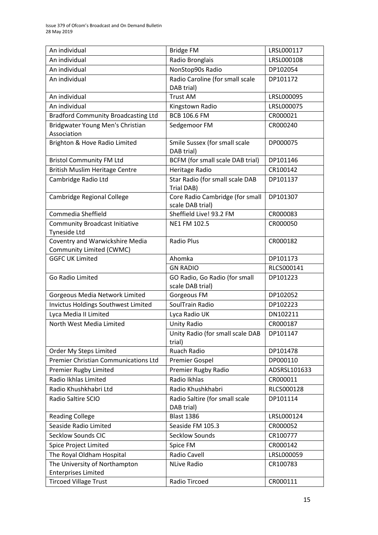| An individual                              | <b>Bridge FM</b>                                    | LRSL000117   |
|--------------------------------------------|-----------------------------------------------------|--------------|
| An individual                              | Radio Bronglais                                     | LRSL000108   |
| An individual                              | NonStop90s Radio                                    | DP102054     |
| An individual                              | Radio Caroline (for small scale                     | DP101172     |
|                                            | DAB trial)                                          |              |
| An individual                              | <b>Trust AM</b>                                     | LRSL000095   |
| An individual                              | Kingstown Radio                                     | LRSL000075   |
| <b>Bradford Community Broadcasting Ltd</b> | <b>BCB 106.6 FM</b>                                 | CR000021     |
| Bridgwater Young Men's Christian           | Sedgemoor FM                                        | CR000240     |
| Association                                |                                                     |              |
| Brighton & Hove Radio Limited              | Smile Sussex (for small scale<br>DAB trial)         | DP000075     |
| <b>Bristol Community FM Ltd</b>            | <b>BCFM</b> (for small scale DAB trial)             | DP101146     |
| British Muslim Heritage Centre             | Heritage Radio                                      | CR100142     |
| Cambridge Radio Ltd                        | Star Radio (for small scale DAB<br>Trial DAB)       | DP101137     |
| Cambridge Regional College                 | Core Radio Cambridge (for small<br>scale DAB trial) | DP101307     |
| Commedia Sheffield                         | Sheffield Live! 93.2 FM                             | CR000083     |
| <b>Community Broadcast Initiative</b>      | NE1 FM 102.5                                        | CR000050     |
| <b>Tyneside Ltd</b>                        |                                                     |              |
| Coventry and Warwickshire Media            | <b>Radio Plus</b>                                   | CR000182     |
| Community Limited (CWMC)                   |                                                     |              |
| <b>GGFC UK Limited</b>                     | Ahomka                                              | DP101173     |
|                                            | <b>GN RADIO</b>                                     | RLCS000141   |
| Go Radio Limited                           | GO Radio, Go Radio (for small<br>scale DAB trial)   | DP101223     |
| Gorgeous Media Network Limited             | Gorgeous FM                                         | DP102052     |
| Invictus Holdings Southwest Limited        | SoulTrain Radio                                     | DP102223     |
| Lyca Media II Limited                      | Lyca Radio UK                                       | DN102211     |
| North West Media Limited                   | <b>Unity Radio</b>                                  | CR000187     |
|                                            | Unity Radio (for small scale DAB                    | DP101147     |
|                                            | trial)                                              |              |
| Order My Steps Limited                     | Ruach Radio                                         | DP101478     |
| Premier Christian Communications Ltd       | <b>Premier Gospel</b>                               | DP000110     |
| Premier Rugby Limited                      | Premier Rugby Radio                                 | ADSRSL101633 |
| Radio Ikhlas Limited                       | Radio Ikhlas                                        | CR000011     |
| Radio Khushkhabri Ltd                      | Radio Khushkhabri                                   | RLCS000128   |
| Radio Saltire SCIO                         | Radio Saltire (for small scale<br>DAB trial)        | DP101114     |
| <b>Reading College</b>                     | <b>Blast 1386</b>                                   | LRSL000124   |
| Seaside Radio Limited                      | Seaside FM 105.3                                    | CR000052     |
| Secklow Sounds CIC                         | <b>Secklow Sounds</b>                               | CR100777     |
| Spice Project Limited                      | Spice FM                                            | CR000142     |
| The Royal Oldham Hospital                  | Radio Cavell                                        | LRSL000059   |
| The University of Northampton              | <b>NLive Radio</b>                                  | CR100783     |
| <b>Enterprises Limited</b>                 |                                                     |              |
| <b>Tircoed Village Trust</b>               | Radio Tircoed                                       | CR000111     |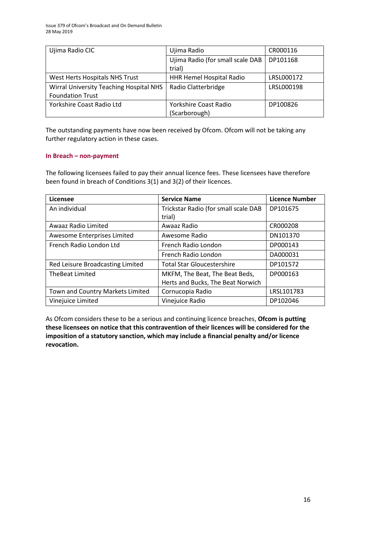| Ujima Radio CIC                         | Ujima Radio                      | CR000116   |
|-----------------------------------------|----------------------------------|------------|
|                                         | Ujima Radio (for small scale DAB | DP101168   |
|                                         | trial)                           |            |
| West Herts Hospitals NHS Trust          | HHR Hemel Hospital Radio         | LRSL000172 |
| Wirral University Teaching Hospital NHS | Radio Clatterbridge              | LRSL000198 |
| <b>Foundation Trust</b>                 |                                  |            |
| Yorkshire Coast Radio Ltd               | Yorkshire Coast Radio            | DP100826   |
|                                         | (Scarborough)                    |            |

The outstanding payments have now been received by Ofcom. Ofcom will not be taking any further regulatory action in these cases.

#### **In Breach – non-payment**

The following licensees failed to pay their annual licence fees. These licensees have therefore been found in breach of Conditions 3(1) and 3(2) of their licences.

| Licensee                         | <b>Service Name</b>                  | <b>Licence Number</b> |
|----------------------------------|--------------------------------------|-----------------------|
| An individual                    | Trickstar Radio (for small scale DAB | DP101675              |
|                                  | trial)                               |                       |
| Awaaz Radio Limited              | Awaaz Radio                          | CR000208              |
| Awesome Enterprises Limited      | Awesome Radio                        | DN101370              |
| French Radio London Ltd          | French Radio London                  | DP000143              |
|                                  | French Radio London                  | DA000031              |
| Red Leisure Broadcasting Limited | <b>Total Star Gloucestershire</b>    | DP101572              |
| <b>TheBeat Limited</b>           | MKFM, The Beat, The Beat Beds,       | DP000163              |
|                                  | Herts and Bucks, The Beat Norwich    |                       |
| Town and Country Markets Limited | Cornucopia Radio                     | LRSL101783            |
| Vinejuice Limited                | Vinejuice Radio                      | DP102046              |

As Ofcom considers these to be a serious and continuing licence breaches, **Ofcom is putting these licensees on notice that this contravention of their licences will be considered for the imposition of a statutory sanction, which may include a financial penalty and/or licence revocation.**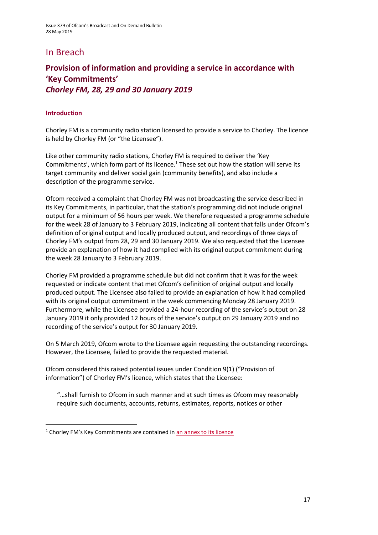# In Breach

### **Provision of information and providing a service in accordance with 'Key Commitments'** *Chorley FM, 28, 29 and 30 January 2019*

#### **Introduction**

1

Chorley FM is a community radio station licensed to provide a service to Chorley. The licence is held by Chorley FM (or "the Licensee").

Like other community radio stations, Chorley FM is required to deliver the 'Key Commitments', which form part of its licence.<sup>1</sup> These set out how the station will serve its target community and deliver social gain (community benefits), and also include a description of the programme service.

Ofcom received a complaint that Chorley FM was not broadcasting the service described in its Key Commitments, in particular, that the station's programming did not include original output for a minimum of 56 hours per week. We therefore requested a programme schedule for the week 28 of January to 3 February 2019, indicating all content that falls under Ofcom's definition of original output and locally produced output, and recordings of three days of Chorley FM's output from 28, 29 and 30 January 2019. We also requested that the Licensee provide an explanation of how it had complied with its original output commitment during the week 28 January to 3 February 2019.

Chorley FM provided a programme schedule but did not confirm that it was for the week requested or indicate content that met Ofcom's definition of original output and locally produced output. The Licensee also failed to provide an explanation of how it had complied with its original output commitment in the week commencing Monday 28 January 2019. Furthermore, while the Licensee provided a 24-hour recording of the service's output on 28 January 2019 it only provided 12 hours of the service's output on 29 January 2019 and no recording of the service's output for 30 January 2019.

On 5 March 2019, Ofcom wrote to the Licensee again requesting the outstanding recordings. However, the Licensee, failed to provide the requested material.

Ofcom considered this raised potential issues under Condition 9(1) ("Provision of information") of Chorley FM's licence, which states that the Licensee:

"…shall furnish to Ofcom in such manner and at such times as Ofcom may reasonably require such documents, accounts, returns, estimates, reports, notices or other

<sup>&</sup>lt;sup>1</sup> Chorley FM's Key Commitments are contained in [an annex to its licence](http://static.ofcom.org.uk/static/radiolicensing/Community/commitments/cr000025.pdf)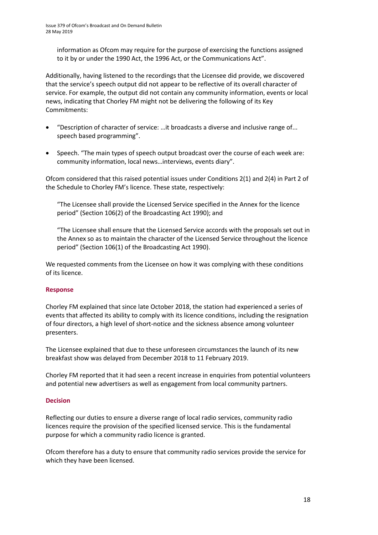information as Ofcom may require for the purpose of exercising the functions assigned to it by or under the 1990 Act, the 1996 Act, or the Communications Act".

Additionally, having listened to the recordings that the Licensee did provide, we discovered that the service's speech output did not appear to be reflective of its overall character of service. For example, the output did not contain any community information, events or local news, indicating that Chorley FM might not be delivering the following of its Key Commitments:

- "Description of character of service: …it broadcasts a diverse and inclusive range of... speech based programming".
- Speech. "The main types of speech output broadcast over the course of each week are: community information, local news…interviews, events diary".

Ofcom considered that this raised potential issues under Conditions 2(1) and 2(4) in Part 2 of the Schedule to Chorley FM's licence. These state, respectively:

"The Licensee shall provide the Licensed Service specified in the Annex for the licence period" (Section 106(2) of the Broadcasting Act 1990); and

"The Licensee shall ensure that the Licensed Service accords with the proposals set out in the Annex so as to maintain the character of the Licensed Service throughout the licence period" (Section 106(1) of the Broadcasting Act 1990).

We requested comments from the Licensee on how it was complying with these conditions of its licence.

#### **Response**

Chorley FM explained that since late October 2018, the station had experienced a series of events that affected its ability to comply with its licence conditions, including the resignation of four directors, a high level of short-notice and the sickness absence among volunteer presenters.

The Licensee explained that due to these unforeseen circumstances the launch of its new breakfast show was delayed from December 2018 to 11 February 2019.

Chorley FM reported that it had seen a recent increase in enquiries from potential volunteers and potential new advertisers as well as engagement from local community partners.

#### **Decision**

Reflecting our duties to ensure a diverse range of local radio services, community radio licences require the provision of the specified licensed service. This is the fundamental purpose for which a community radio licence is granted.

Ofcom therefore has a duty to ensure that community radio services provide the service for which they have been licensed.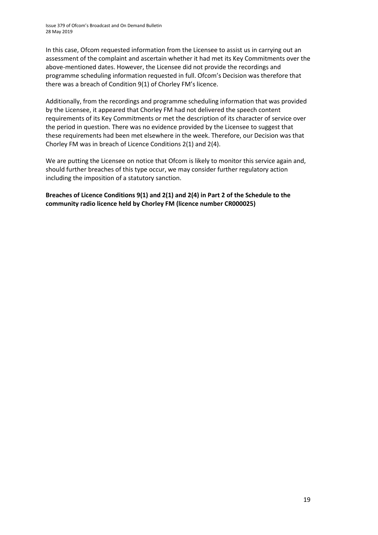In this case, Ofcom requested information from the Licensee to assist us in carrying out an assessment of the complaint and ascertain whether it had met its Key Commitments over the above-mentioned dates. However, the Licensee did not provide the recordings and programme scheduling information requested in full. Ofcom's Decision was therefore that there was a breach of Condition 9(1) of Chorley FM's licence.

Additionally, from the recordings and programme scheduling information that was provided by the Licensee, it appeared that Chorley FM had not delivered the speech content requirements of its Key Commitments or met the description of its character of service over the period in question. There was no evidence provided by the Licensee to suggest that these requirements had been met elsewhere in the week. Therefore, our Decision was that Chorley FM was in breach of Licence Conditions 2(1) and 2(4).

We are putting the Licensee on notice that Ofcom is likely to monitor this service again and, should further breaches of this type occur, we may consider further regulatory action including the imposition of a statutory sanction.

**Breaches of Licence Conditions 9(1) and 2(1) and 2(4) in Part 2 of the Schedule to the community radio licence held by Chorley FM (licence number CR000025)**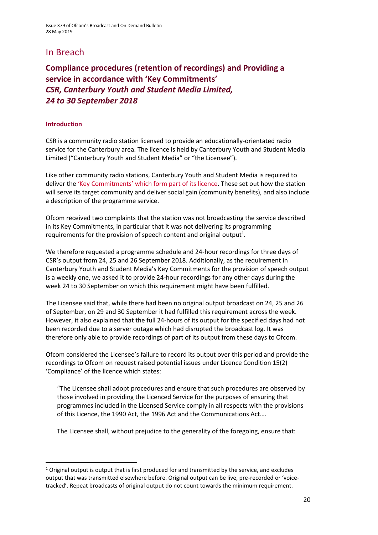# In Breach

**Compliance procedures (retention of recordings) and Providing a service in accordance with 'Key Commitments'** *CSR, Canterbury Youth and Student Media Limited, 24 to 30 September 2018* 

#### **Introduction**

**.** 

CSR is a community radio station licensed to provide an educationally-orientated radio service for the Canterbury area. The licence is held by Canterbury Youth and Student Media Limited ("Canterbury Youth and Student Media" or "the Licensee").

Like other community radio stations, Canterbury Youth and Student Media is required to deliver the ['Key Commitments' which form part of its licence](http://static.ofcom.org.uk/static/radiolicensing/Community/commitments/cr000066.pdf). These set out how the station will serve its target community and deliver social gain (community benefits), and also include a description of the programme service.

Ofcom received two complaints that the station was not broadcasting the service described in its Key Commitments, in particular that it was not delivering its programming requirements for the provision of speech content and original output<sup>1</sup>.

We therefore requested a programme schedule and 24-hour recordings for three days of CSR's output from 24, 25 and 26 September 2018. Additionally, as the requirement in Canterbury Youth and Student Media's Key Commitments for the provision of speech output is a weekly one, we asked it to provide 24-hour recordings for any other days during the week 24 to 30 September on which this requirement might have been fulfilled.

The Licensee said that, while there had been no original output broadcast on 24, 25 and 26 of September, on 29 and 30 September it had fulfilled this requirement across the week. However, it also explained that the full 24-hours of its output for the specified days had not been recorded due to a server outage which had disrupted the broadcast log. It was therefore only able to provide recordings of part of its output from these days to Ofcom.

Ofcom considered the Licensee's failure to record its output over this period and provide the recordings to Ofcom on request raised potential issues under Licence Condition 15(2) 'Compliance' of the licence which states:

"The Licensee shall adopt procedures and ensure that such procedures are observed by those involved in providing the Licenced Service for the purposes of ensuring that programmes included in the Licensed Service comply in all respects with the provisions of this Licence, the 1990 Act, the 1996 Act and the Communications Act….

The Licensee shall, without prejudice to the generality of the foregoing, ensure that:

<sup>&</sup>lt;sup>1</sup> Original output is output that is first produced for and transmitted by the service, and excludes output that was transmitted elsewhere before. Original output can be live, pre-recorded or 'voicetracked'. Repeat broadcasts of original output do not count towards the minimum requirement.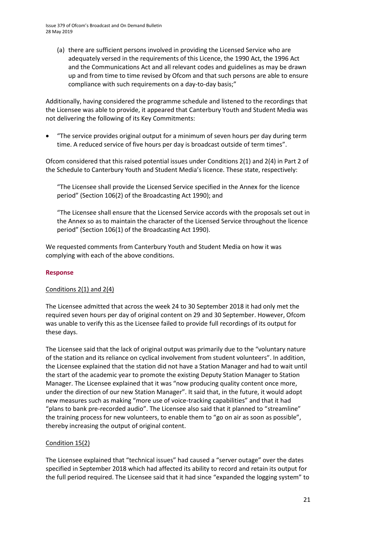(a) there are sufficient persons involved in providing the Licensed Service who are adequately versed in the requirements of this Licence, the 1990 Act, the 1996 Act and the Communications Act and all relevant codes and guidelines as may be drawn up and from time to time revised by Ofcom and that such persons are able to ensure compliance with such requirements on a day-to-day basis;"

Additionally, having considered the programme schedule and listened to the recordings that the Licensee was able to provide, it appeared that Canterbury Youth and Student Media was not delivering the following of its Key Commitments:

• "The service provides original output for a minimum of seven hours per day during term time. A reduced service of five hours per day is broadcast outside of term times".

Ofcom considered that this raised potential issues under Conditions 2(1) and 2(4) in Part 2 of the Schedule to Canterbury Youth and Student Media's licence. These state, respectively:

"The Licensee shall provide the Licensed Service specified in the Annex for the licence period" (Section 106(2) of the Broadcasting Act 1990); and

"The Licensee shall ensure that the Licensed Service accords with the proposals set out in the Annex so as to maintain the character of the Licensed Service throughout the licence period" (Section 106(1) of the Broadcasting Act 1990).

We requested comments from Canterbury Youth and Student Media on how it was complying with each of the above conditions.

#### **Response**

#### Conditions 2(1) and 2(4)

The Licensee admitted that across the week 24 to 30 September 2018 it had only met the required seven hours per day of original content on 29 and 30 September. However, Ofcom was unable to verify this as the Licensee failed to provide full recordings of its output for these days.

The Licensee said that the lack of original output was primarily due to the "voluntary nature of the station and its reliance on cyclical involvement from student volunteers". In addition, the Licensee explained that the station did not have a Station Manager and had to wait until the start of the academic year to promote the existing Deputy Station Manager to Station Manager. The Licensee explained that it was "now producing quality content once more, under the direction of our new Station Manager". It said that, in the future, it would adopt new measures such as making "more use of voice-tracking capabilities" and that it had "plans to bank pre-recorded audio". The Licensee also said that it planned to "streamline" the training process for new volunteers, to enable them to "go on air as soon as possible", thereby increasing the output of original content.

#### Condition 15(2)

The Licensee explained that "technical issues" had caused a "server outage" over the dates specified in September 2018 which had affected its ability to record and retain its output for the full period required. The Licensee said that it had since "expanded the logging system" to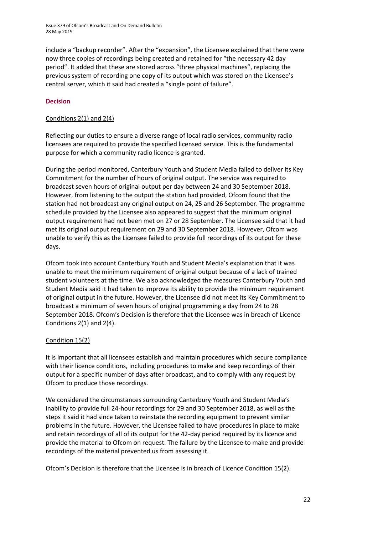include a "backup recorder". After the "expansion", the Licensee explained that there were now three copies of recordings being created and retained for "the necessary 42 day period". It added that these are stored across "three physical machines", replacing the previous system of recording one copy of its output which was stored on the Licensee's central server, which it said had created a "single point of failure".

#### **Decision**

#### Conditions 2(1) and 2(4)

Reflecting our duties to ensure a diverse range of local radio services, community radio licensees are required to provide the specified licensed service. This is the fundamental purpose for which a community radio licence is granted.

During the period monitored, Canterbury Youth and Student Media failed to deliver its Key Commitment for the number of hours of original output. The service was required to broadcast seven hours of original output per day between 24 and 30 September 2018. However, from listening to the output the station had provided, Ofcom found that the station had not broadcast any original output on 24, 25 and 26 September. The programme schedule provided by the Licensee also appeared to suggest that the minimum original output requirement had not been met on 27 or 28 September. The Licensee said that it had met its original output requirement on 29 and 30 September 2018. However, Ofcom was unable to verify this as the Licensee failed to provide full recordings of its output for these days.

Ofcom took into account Canterbury Youth and Student Media's explanation that it was unable to meet the minimum requirement of original output because of a lack of trained student volunteers at the time. We also acknowledged the measures Canterbury Youth and Student Media said it had taken to improve its ability to provide the minimum requirement of original output in the future. However, the Licensee did not meet its Key Commitment to broadcast a minimum of seven hours of original programming a day from 24 to 28 September 2018. Ofcom's Decision is therefore that the Licensee was in breach of Licence Conditions 2(1) and 2(4).

#### Condition 15(2)

It is important that all licensees establish and maintain procedures which secure compliance with their licence conditions, including procedures to make and keep recordings of their output for a specific number of days after broadcast, and to comply with any request by Ofcom to produce those recordings.

We considered the circumstances surrounding Canterbury Youth and Student Media's inability to provide full 24-hour recordings for 29 and 30 September 2018, as well as the steps it said it had since taken to reinstate the recording equipment to prevent similar problems in the future. However, the Licensee failed to have procedures in place to make and retain recordings of all of its output for the 42-day period required by its licence and provide the material to Ofcom on request. The failure by the Licensee to make and provide recordings of the material prevented us from assessing it.

Ofcom's Decision is therefore that the Licensee is in breach of Licence Condition 15(2).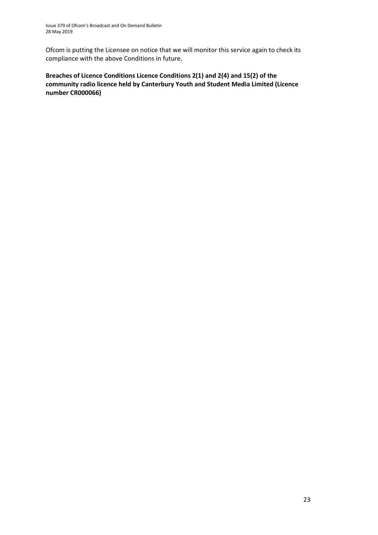Ofcom is putting the Licensee on notice that we will monitor this service again to check its compliance with the above Conditions in future.

**Breaches of Licence Conditions Licence Conditions 2(1) and 2(4) and 15(2) of the community radio licence held by Canterbury Youth and Student Media Limited (Licence number CR000066)**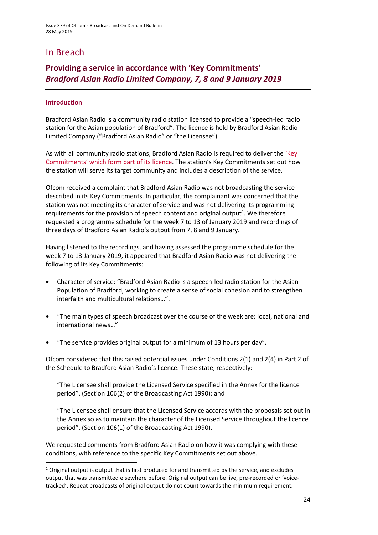# In Breach

### **Providing a service in accordance with 'Key Commitments'** *Bradford Asian Radio Limited Company, 7, 8 and 9 January 2019*

#### **Introduction**

**.** 

Bradford Asian Radio is a community radio station licensed to provide a "speech-led radio station for the Asian population of Bradford". The licence is held by Bradford Asian Radio Limited Company ("Bradford Asian Radio" or "the Licensee").

As with all community radio stations, Bradford Asian Radio is required to deliver the ['Key](http://static.ofcom.org.uk/static/radiolicensing/Community/commitments/cr100145.pdf)  [Commitments' which fo](http://static.ofcom.org.uk/static/radiolicensing/Community/commitments/cr100145.pdf)rm part of its licence. The station's Key Commitments set out how the station will serve its target community and includes a description of the service.

Ofcom received a complaint that Bradford Asian Radio was not broadcasting the service described in its Key Commitments. In particular, the complainant was concerned that the station was not meeting its character of service and was not delivering its programming requirements for the provision of speech content and original output<sup>1</sup>. We therefore requested a programme schedule for the week 7 to 13 of January 2019 and recordings of three days of Bradford Asian Radio's output from 7, 8 and 9 January.

Having listened to the recordings, and having assessed the programme schedule for the week 7 to 13 January 2019, it appeared that Bradford Asian Radio was not delivering the following of its Key Commitments:

- Character of service: "Bradford Asian Radio is a speech-led radio station for the Asian Population of Bradford, working to create a sense of social cohesion and to strengthen interfaith and multicultural relations…".
- "The main types of speech broadcast over the course of the week are: local, national and international news…"
- "The service provides original output for a minimum of 13 hours per day".

Ofcom considered that this raised potential issues under Conditions 2(1) and 2(4) in Part 2 of the Schedule to Bradford Asian Radio's licence. These state, respectively:

"The Licensee shall provide the Licensed Service specified in the Annex for the licence period". (Section 106(2) of the Broadcasting Act 1990); and

"The Licensee shall ensure that the Licensed Service accords with the proposals set out in the Annex so as to maintain the character of the Licensed Service throughout the licence period". (Section 106(1) of the Broadcasting Act 1990).

We requested comments from Bradford Asian Radio on how it was complying with these conditions, with reference to the specific Key Commitments set out above.

 $1$  Original output is output that is first produced for and transmitted by the service, and excludes output that was transmitted elsewhere before. Original output can be live, pre-recorded or 'voicetracked'. Repeat broadcasts of original output do not count towards the minimum requirement.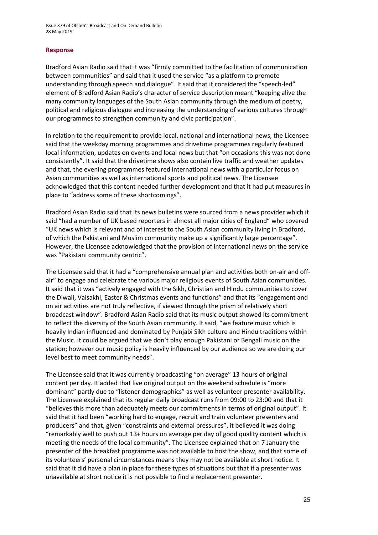Issue 379 of Ofcom's Broadcast and On Demand Bulletin 28 May 2019

#### **Response**

Bradford Asian Radio said that it was "firmly committed to the facilitation of communication between communities" and said that it used the service "as a platform to promote understanding through speech and dialogue". It said that it considered the "speech-led" element of Bradford Asian Radio's character of service description meant "keeping alive the many community languages of the South Asian community through the medium of poetry, political and religious dialogue and increasing the understanding of various cultures through our programmes to strengthen community and civic participation".

In relation to the requirement to provide local, national and international news, the Licensee said that the weekday morning programmes and drivetime programmes regularly featured local information, updates on events and local news but that "on occasions this was not done consistently". It said that the drivetime shows also contain live traffic and weather updates and that, the evening programmes featured international news with a particular focus on Asian communities as well as international sports and political news. The Licensee acknowledged that this content needed further development and that it had put measures in place to "address some of these shortcomings".

Bradford Asian Radio said that its news bulletins were sourced from a news provider which it said "had a number of UK based reporters in almost all major cities of England" who covered "UK news which is relevant and of interest to the South Asian community living in Bradford, of which the Pakistani and Muslim community make up a significantly large percentage". However, the Licensee acknowledged that the provision of international news on the service was "Pakistani community centric".

The Licensee said that it had a "comprehensive annual plan and activities both on-air and offair" to engage and celebrate the various major religious events of South Asian communities. It said that it was "actively engaged with the Sikh, Christian and Hindu communities to cover the Diwali, Vaisakhi, Easter & Christmas events and functions" and that its "engagement and on air activities are not truly reflective, if viewed through the prism of relatively short broadcast window". Bradford Asian Radio said that its music output showed its commitment to reflect the diversity of the South Asian community. It said, "we feature music which is heavily Indian influenced and dominated by Punjabi Sikh culture and Hindu traditions within the Music. It could be argued that we don't play enough Pakistani or Bengali music on the station; however our music policy is heavily influenced by our audience so we are doing our level best to meet community needs".

The Licensee said that it was currently broadcasting "on average" 13 hours of original content per day. It added that live original output on the weekend schedule is "more dominant" partly due to "listener demographics" as well as volunteer presenter availability. The Licensee explained that its regular daily broadcast runs from 09:00 to 23:00 and that it "believes this more than adequately meets our commitments in terms of original output". It said that it had been "working hard to engage, recruit and train volunteer presenters and producers" and that, given "constraints and external pressures", it believed it was doing "remarkably well to push out 13+ hours on average per day of good quality content which is meeting the needs of the local community". The Licensee explained that on 7 January the presenter of the breakfast programme was not available to host the show, and that some of its volunteers' personal circumstances means they may not be available at short notice. It said that it did have a plan in place for these types of situations but that if a presenter was unavailable at short notice it is not possible to find a replacement presenter.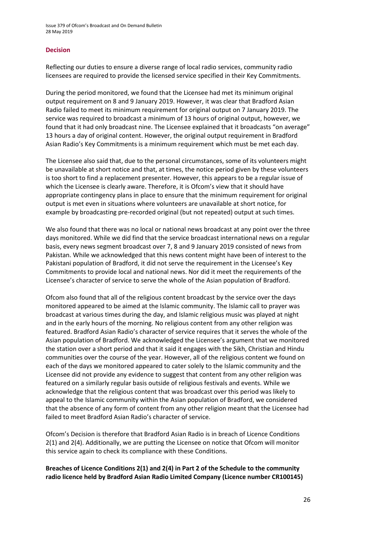Issue 379 of Ofcom's Broadcast and On Demand Bulletin 28 May 2019

#### **Decision**

Reflecting our duties to ensure a diverse range of local radio services, community radio licensees are required to provide the licensed service specified in their Key Commitments.

During the period monitored, we found that the Licensee had met its minimum original output requirement on 8 and 9 January 2019. However, it was clear that Bradford Asian Radio failed to meet its minimum requirement for original output on 7 January 2019. The service was required to broadcast a minimum of 13 hours of original output, however, we found that it had only broadcast nine. The Licensee explained that it broadcasts "on average" 13 hours a day of original content. However, the original output requirement in Bradford Asian Radio's Key Commitments is a minimum requirement which must be met each day.

The Licensee also said that, due to the personal circumstances, some of its volunteers might be unavailable at short notice and that, at times, the notice period given by these volunteers is too short to find a replacement presenter. However, this appears to be a regular issue of which the Licensee is clearly aware. Therefore, it is Ofcom's view that it should have appropriate contingency plans in place to ensure that the minimum requirement for original output is met even in situations where volunteers are unavailable at short notice, for example by broadcasting pre-recorded original (but not repeated) output at such times.

We also found that there was no local or national news broadcast at any point over the three days monitored. While we did find that the service broadcast international news on a regular basis, every news segment broadcast over 7, 8 and 9 January 2019 consisted of news from Pakistan. While we acknowledged that this news content might have been of interest to the Pakistani population of Bradford, it did not serve the requirement in the Licensee's Key Commitments to provide local and national news. Nor did it meet the requirements of the Licensee's character of service to serve the whole of the Asian population of Bradford.

Ofcom also found that all of the religious content broadcast by the service over the days monitored appeared to be aimed at the Islamic community. The Islamic call to prayer was broadcast at various times during the day, and Islamic religious music was played at night and in the early hours of the morning. No religious content from any other religion was featured. Bradford Asian Radio's character of service requires that it serves the whole of the Asian population of Bradford. We acknowledged the Licensee's argument that we monitored the station over a short period and that it said it engages with the Sikh, Christian and Hindu communities over the course of the year. However, all of the religious content we found on each of the days we monitored appeared to cater solely to the Islamic community and the Licensee did not provide any evidence to suggest that content from any other religion was featured on a similarly regular basis outside of religious festivals and events. While we acknowledge that the religious content that was broadcast over this period was likely to appeal to the Islamic community within the Asian population of Bradford, we considered that the absence of any form of content from any other religion meant that the Licensee had failed to meet Bradford Asian Radio's character of service.

Ofcom's Decision is therefore that Bradford Asian Radio is in breach of Licence Conditions 2(1) and 2(4). Additionally, we are putting the Licensee on notice that Ofcom will monitor this service again to check its compliance with these Conditions.

**Breaches of Licence Conditions 2(1) and 2(4) in Part 2 of the Schedule to the community radio licence held by Bradford Asian Radio Limited Company (Licence number CR100145)**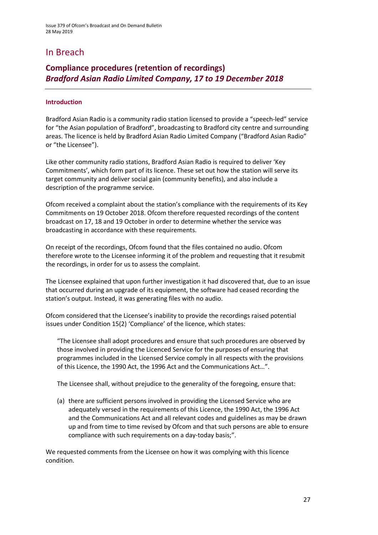# In Breach

### **Compliance procedures (retention of recordings)** *Bradford Asian Radio Limited Company, 17 to 19 December 2018*

#### **Introduction**

Bradford Asian Radio is a community radio station licensed to provide a "speech-led" service for "the Asian population of Bradford", broadcasting to Bradford city centre and surrounding areas. The licence is held by Bradford Asian Radio Limited Company ("Bradford Asian Radio" or "the Licensee").

Like other community radio stations, Bradford Asian Radio is required to deliver 'Key Commitments', which form part of its licence. These set out how the station will serve its target community and deliver social gain (community benefits), and also include a description of the programme service.

Ofcom received a complaint about the station's compliance with the requirements of its Key Commitments on 19 October 2018. Ofcom therefore requested recordings of the content broadcast on 17, 18 and 19 October in order to determine whether the service was broadcasting in accordance with these requirements.

On receipt of the recordings, Ofcom found that the files contained no audio. Ofcom therefore wrote to the Licensee informing it of the problem and requesting that it resubmit the recordings, in order for us to assess the complaint.

The Licensee explained that upon further investigation it had discovered that, due to an issue that occurred during an upgrade of its equipment, the software had ceased recording the station's output. Instead, it was generating files with no audio.

Ofcom considered that the Licensee's inability to provide the recordings raised potential issues under Condition 15(2) 'Compliance' of the licence, which states:

"The Licensee shall adopt procedures and ensure that such procedures are observed by those involved in providing the Licenced Service for the purposes of ensuring that programmes included in the Licensed Service comply in all respects with the provisions of this Licence, the 1990 Act, the 1996 Act and the Communications Act…".

The Licensee shall, without prejudice to the generality of the foregoing, ensure that:

(a) there are sufficient persons involved in providing the Licensed Service who are adequately versed in the requirements of this Licence, the 1990 Act, the 1996 Act and the Communications Act and all relevant codes and guidelines as may be drawn up and from time to time revised by Ofcom and that such persons are able to ensure compliance with such requirements on a day-today basis;".

We requested comments from the Licensee on how it was complying with this licence condition.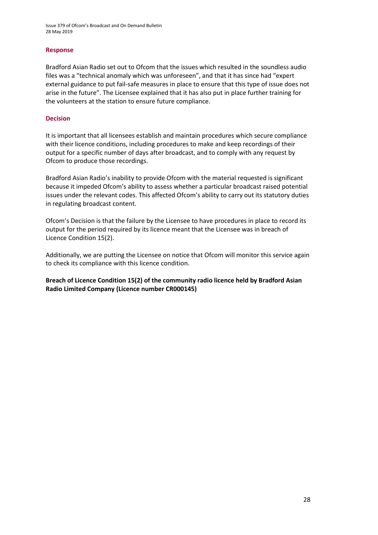Issue 379 of Ofcom's Broadcast and On Demand Bulletin 28 May 2019

#### **Response**

Bradford Asian Radio set out to Ofcom that the issues which resulted in the soundless audio files was a "technical anomaly which was unforeseen", and that it has since had "expert external guidance to put fail-safe measures in place to ensure that this type of issue does not arise in the future". The Licensee explained that it has also put in place further training for the volunteers at the station to ensure future compliance.

#### **Decision**

It is important that all licensees establish and maintain procedures which secure compliance with their licence conditions, including procedures to make and keep recordings of their output for a specific number of days after broadcast, and to comply with any request by Ofcom to produce those recordings.

Bradford Asian Radio's inability to provide Ofcom with the material requested is significant because it impeded Ofcom's ability to assess whether a particular broadcast raised potential issues under the relevant codes. This affected Ofcom's ability to carry out its statutory duties in regulating broadcast content.

Ofcom's Decision is that the failure by the Licensee to have procedures in place to record its output for the period required by its licence meant that the Licensee was in breach of Licence Condition 15(2).

Additionally, we are putting the Licensee on notice that Ofcom will monitor this service again to check its compliance with this licence condition.

**Breach of Licence Condition 15(2) of the community radio licence held by Bradford Asian Radio Limited Company (Licence number CR000145)**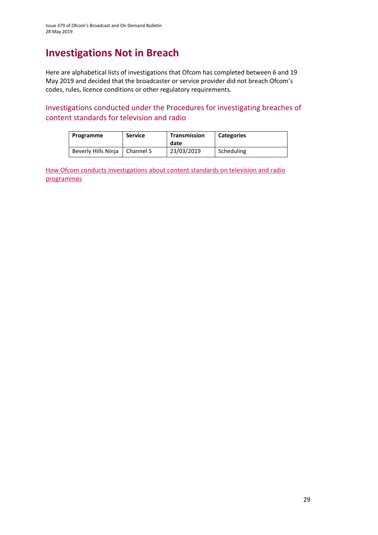# **Investigations Not in Breach**

Here are alphabetical lists of investigations that Ofcom has completed between 6 and 19 May 2019 and decided that the broadcaster or service provider did not breach Ofcom's codes, rules, licence conditions or other regulatory requirements.

Investigations conducted under the Procedures for investigating breaches of content standards for television and radio

| Programme           | <b>Service</b> | <b>Transmission</b><br>date | <b>Categories</b> |
|---------------------|----------------|-----------------------------|-------------------|
| Beverly Hills Ninja | Channel 5      | 23/03/2019                  | Scheduling        |

How Ofcom conducts investigations about content standards on television and radio [programmes](https://www.ofcom.org.uk/__data/assets/pdf_file/0020/55109/breaches-content-standards.pdf)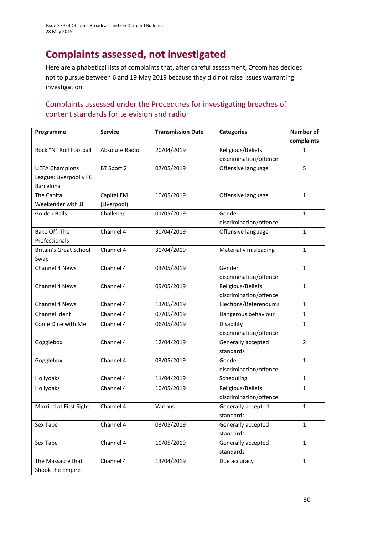# **Complaints assessed, not investigated**

Here are alphabetical lists of complaints that, after careful assessment, Ofcom has decided not to pursue between 6 and 19 May 2019 because they did not raise issues warranting investigation.

### Complaints assessed under the Procedures for investigating breaches of content standards for television and radio

| Programme                     | <b>Service</b> | <b>Transmission Date</b> | <b>Categories</b>      | <b>Number of</b> |
|-------------------------------|----------------|--------------------------|------------------------|------------------|
|                               |                |                          |                        | complaints       |
| Rock "N" Roll Football        | Absolute Radio | 20/04/2019               | Religious/Beliefs      | 1                |
|                               |                |                          | discrimination/offence |                  |
| <b>UEFA Champions</b>         | BT Sport 2     | 07/05/2019               | Offensive language     | 5                |
| League: Liverpool v FC        |                |                          |                        |                  |
| Barcelona                     |                |                          |                        |                  |
| The Capital                   | Capital FM     | 10/05/2019               | Offensive language     | $\mathbf{1}$     |
| Weekender with JJ             | (Liverpool)    |                          |                        |                  |
| <b>Golden Balls</b>           | Challenge      | 01/05/2019               | Gender                 | $\mathbf{1}$     |
|                               |                |                          | discrimination/offence |                  |
| <b>Bake Off: The</b>          | Channel 4      | 30/04/2019               | Offensive language     | $\mathbf{1}$     |
| Professionals                 |                |                          |                        |                  |
| <b>Britain's Great School</b> | Channel 4      | 30/04/2019               | Materially misleading  | $\mathbf{1}$     |
| Swap                          |                |                          |                        |                  |
| Channel 4 News                | Channel 4      | 03/05/2019               | Gender                 | $\mathbf{1}$     |
|                               |                |                          | discrimination/offence |                  |
| <b>Channel 4 News</b>         | Channel 4      | 09/05/2019               | Religious/Beliefs      | $\mathbf{1}$     |
|                               |                |                          | discrimination/offence |                  |
| Channel 4 News                | Channel 4      | 13/05/2019               | Elections/Referendums  | $\mathbf{1}$     |
| Channel ident                 | Channel 4      | 07/05/2019               | Dangerous behaviour    | $\mathbf{1}$     |
| Come Dine with Me             | Channel 4      | 06/05/2019               | Disability             | $\mathbf{1}$     |
|                               |                |                          | discrimination/offence |                  |
| Gogglebox                     | Channel 4      | 12/04/2019               | Generally accepted     | $\overline{2}$   |
|                               |                |                          | standards              |                  |
| Gogglebox                     | Channel 4      | 03/05/2019               | Gender                 | $\mathbf{1}$     |
|                               |                |                          | discrimination/offence |                  |
| Hollyoaks                     | Channel 4      | 11/04/2019               | Scheduling             | $\mathbf{1}$     |
| Hollyoaks                     | Channel 4      | 10/05/2019               | Religious/Beliefs      | $\mathbf{1}$     |
|                               |                |                          | discrimination/offence |                  |
| Married at First Sight        | Channel 4      | Various                  | Generally accepted     | $\mathbf{1}$     |
|                               |                |                          | standards              |                  |
| Sex Tape                      | Channel 4      | 03/05/2019               | Generally accepted     | $\mathbf{1}$     |
|                               |                |                          | standards              |                  |
| Sex Tape                      | Channel 4      | 10/05/2019               | Generally accepted     | $\mathbf{1}$     |
|                               |                |                          | standards              |                  |
| The Massacre that             | Channel 4      | 13/04/2019               | Due accuracy           | $\mathbf{1}$     |
| Shook the Empire              |                |                          |                        |                  |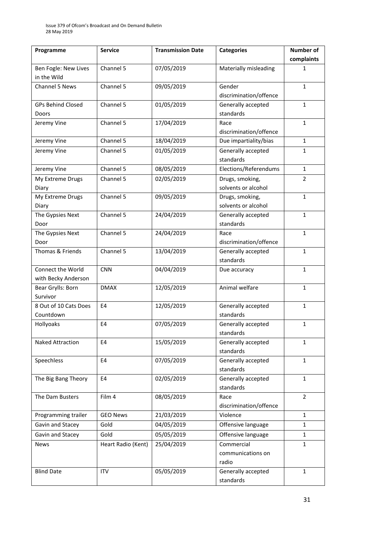| Programme                | <b>Service</b>     | <b>Transmission Date</b> | <b>Categories</b>      | Number of      |
|--------------------------|--------------------|--------------------------|------------------------|----------------|
|                          |                    |                          |                        | complaints     |
| Ben Fogle: New Lives     | Channel 5          | 07/05/2019               | Materially misleading  | 1              |
| in the Wild              |                    |                          |                        |                |
| Channel 5 News           | Channel 5          | 09/05/2019               | Gender                 | $\mathbf{1}$   |
|                          |                    |                          | discrimination/offence |                |
| <b>GPs Behind Closed</b> | Channel 5          | 01/05/2019               | Generally accepted     | $\mathbf{1}$   |
| Doors                    |                    |                          | standards              |                |
| Jeremy Vine              | Channel 5          | 17/04/2019               | Race                   | 1              |
|                          |                    |                          | discrimination/offence |                |
| Jeremy Vine              | Channel 5          | 18/04/2019               | Due impartiality/bias  | $\mathbf{1}$   |
| Jeremy Vine              | Channel 5          | 01/05/2019               | Generally accepted     | $\mathbf{1}$   |
|                          |                    |                          | standards              |                |
| Jeremy Vine              | Channel 5          | 08/05/2019               | Elections/Referendums  | $\mathbf{1}$   |
| My Extreme Drugs         | Channel 5          | 02/05/2019               | Drugs, smoking,        | $\overline{2}$ |
| Diary                    |                    |                          | solvents or alcohol    |                |
| My Extreme Drugs         | Channel 5          | 09/05/2019               | Drugs, smoking,        | $\mathbf{1}$   |
| Diary                    |                    |                          | solvents or alcohol    |                |
| The Gypsies Next         | Channel 5          | 24/04/2019               | Generally accepted     | $\mathbf{1}$   |
| Door                     |                    |                          | standards              |                |
| The Gypsies Next         | Channel 5          | 24/04/2019               | Race                   | $\mathbf{1}$   |
| Door                     |                    |                          | discrimination/offence |                |
| Thomas & Friends         | Channel 5          | 13/04/2019               | Generally accepted     | $\mathbf{1}$   |
|                          |                    |                          | standards              |                |
| <b>Connect the World</b> | <b>CNN</b>         | 04/04/2019               | Due accuracy           | $\mathbf{1}$   |
| with Becky Anderson      |                    |                          |                        |                |
| Bear Grylls: Born        | <b>DMAX</b>        | 12/05/2019               | Animal welfare         | $\mathbf{1}$   |
| Survivor                 |                    |                          |                        |                |
| 8 Out of 10 Cats Does    | E4                 | 12/05/2019               | Generally accepted     | $\mathbf{1}$   |
| Countdown                |                    |                          | standards              |                |
| Hollyoaks                | E4                 | 07/05/2019               | Generally accepted     | $\mathbf{1}$   |
|                          |                    |                          | standards              |                |
| <b>Naked Attraction</b>  | E <sub>4</sub>     | 15/05/2019               | Generally accepted     | $\mathbf{1}$   |
|                          |                    |                          | standards              |                |
| Speechless               | E4                 | 07/05/2019               | Generally accepted     | $\mathbf{1}$   |
|                          |                    |                          | standards              |                |
| The Big Bang Theory      | E4                 | 02/05/2019               | Generally accepted     | $\mathbf{1}$   |
|                          |                    |                          | standards              |                |
| The Dam Busters          | Film 4             | 08/05/2019               | Race                   | $\overline{2}$ |
|                          |                    |                          | discrimination/offence |                |
| Programming trailer      | <b>GEO News</b>    | 21/03/2019               | Violence               | $\mathbf{1}$   |
| Gavin and Stacey         | Gold               | 04/05/2019               | Offensive language     | $\mathbf{1}$   |
| Gavin and Stacey         | Gold               | 05/05/2019               | Offensive language     | 1              |
| <b>News</b>              | Heart Radio (Kent) | 25/04/2019               | Commercial             | $\mathbf{1}$   |
|                          |                    |                          | communications on      |                |
|                          |                    |                          | radio                  |                |
| <b>Blind Date</b>        | <b>ITV</b>         | 05/05/2019               | Generally accepted     | $\mathbf{1}$   |
|                          |                    |                          | standards              |                |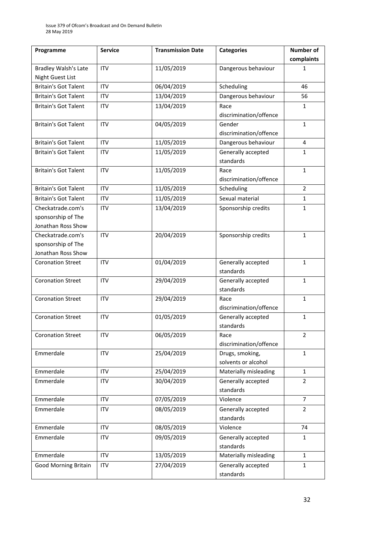| Programme                   | <b>Service</b> | <b>Transmission Date</b> | <b>Categories</b>                      | <b>Number of</b> |
|-----------------------------|----------------|--------------------------|----------------------------------------|------------------|
|                             |                |                          |                                        | complaints       |
| <b>Bradley Walsh's Late</b> | <b>ITV</b>     | 11/05/2019               | Dangerous behaviour                    | 1                |
| <b>Night Guest List</b>     |                |                          |                                        |                  |
| <b>Britain's Got Talent</b> | <b>ITV</b>     | 06/04/2019               | Scheduling                             | 46               |
| <b>Britain's Got Talent</b> | <b>ITV</b>     | 13/04/2019               | Dangerous behaviour                    | 56               |
| <b>Britain's Got Talent</b> | <b>ITV</b>     | 13/04/2019               | Race                                   | $\mathbf{1}$     |
|                             |                |                          | discrimination/offence                 |                  |
| <b>Britain's Got Talent</b> | <b>ITV</b>     | 04/05/2019               | Gender<br>discrimination/offence       | $\mathbf{1}$     |
| <b>Britain's Got Talent</b> | <b>ITV</b>     | 11/05/2019               | Dangerous behaviour                    | 4                |
| <b>Britain's Got Talent</b> | <b>ITV</b>     | 11/05/2019               | Generally accepted<br>standards        | $\mathbf{1}$     |
| <b>Britain's Got Talent</b> | <b>ITV</b>     | 11/05/2019               | Race<br>discrimination/offence         | $\mathbf{1}$     |
| <b>Britain's Got Talent</b> | <b>ITV</b>     | 11/05/2019               | Scheduling                             | $\overline{2}$   |
| <b>Britain's Got Talent</b> | <b>ITV</b>     | 11/05/2019               | Sexual material                        | $\mathbf{1}$     |
| Checkatrade.com's           | <b>ITV</b>     | 13/04/2019               | Sponsorship credits                    | $\mathbf{1}$     |
| sponsorship of The          |                |                          |                                        |                  |
| Jonathan Ross Show          |                |                          |                                        |                  |
| Checkatrade.com's           | <b>ITV</b>     | 20/04/2019               | Sponsorship credits                    | $\mathbf{1}$     |
| sponsorship of The          |                |                          |                                        |                  |
| Jonathan Ross Show          |                |                          |                                        |                  |
| <b>Coronation Street</b>    | <b>ITV</b>     | 01/04/2019               | Generally accepted<br>standards        | $\mathbf{1}$     |
| <b>Coronation Street</b>    | <b>ITV</b>     | 29/04/2019               | Generally accepted<br>standards        | $\mathbf{1}$     |
| <b>Coronation Street</b>    | <b>ITV</b>     | 29/04/2019               | Race<br>discrimination/offence         | $\mathbf{1}$     |
| <b>Coronation Street</b>    | <b>ITV</b>     | 01/05/2019               | Generally accepted<br>standards        | $\mathbf{1}$     |
| <b>Coronation Street</b>    | <b>ITV</b>     | 06/05/2019               | Race<br>discrimination/offence         | $\overline{2}$   |
| Emmerdale                   | <b>ITV</b>     | 25/04/2019               | Drugs, smoking,<br>solvents or alcohol | $\mathbf{1}$     |
| Emmerdale                   | ITV            | 25/04/2019               | Materially misleading                  | $\mathbf{1}$     |
| Emmerdale                   | <b>ITV</b>     | 30/04/2019               | Generally accepted<br>standards        | $\overline{2}$   |
| Emmerdale                   | <b>ITV</b>     | 07/05/2019               | Violence                               | $\overline{7}$   |
| Emmerdale                   | <b>ITV</b>     | 08/05/2019               | Generally accepted<br>standards        | $\overline{2}$   |
| Emmerdale                   | <b>ITV</b>     | 08/05/2019               | Violence                               | 74               |
| Emmerdale                   | <b>ITV</b>     | 09/05/2019               | Generally accepted<br>standards        | $\mathbf{1}$     |
| Emmerdale                   | <b>ITV</b>     | 13/05/2019               | Materially misleading                  | $\mathbf{1}$     |
| <b>Good Morning Britain</b> | <b>ITV</b>     | 27/04/2019               | Generally accepted<br>standards        | $\mathbf{1}$     |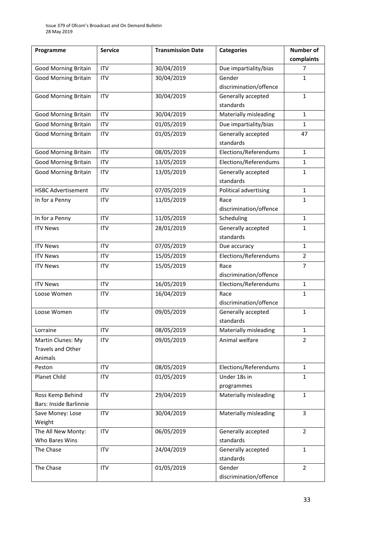| Programme                     | <b>Service</b> | <b>Transmission Date</b> | <b>Categories</b>               | <b>Number of</b> |
|-------------------------------|----------------|--------------------------|---------------------------------|------------------|
|                               |                |                          |                                 | complaints       |
| <b>Good Morning Britain</b>   | <b>ITV</b>     | 30/04/2019               | Due impartiality/bias           | 7                |
| <b>Good Morning Britain</b>   | <b>ITV</b>     | 30/04/2019               | Gender                          | $\mathbf{1}$     |
|                               |                |                          | discrimination/offence          |                  |
| <b>Good Morning Britain</b>   | <b>ITV</b>     | 30/04/2019               | Generally accepted              | $\mathbf{1}$     |
|                               |                |                          | standards                       |                  |
| <b>Good Morning Britain</b>   | <b>ITV</b>     | 30/04/2019               | Materially misleading           | $\mathbf{1}$     |
| <b>Good Morning Britain</b>   | <b>ITV</b>     | 01/05/2019               | Due impartiality/bias           | $\mathbf{1}$     |
| <b>Good Morning Britain</b>   | <b>ITV</b>     | 01/05/2019               | Generally accepted<br>standards | 47               |
| <b>Good Morning Britain</b>   | <b>ITV</b>     | 08/05/2019               | Elections/Referendums           | $\mathbf{1}$     |
| <b>Good Morning Britain</b>   | <b>ITV</b>     | 13/05/2019               | Elections/Referendums           | $\mathbf{1}$     |
| <b>Good Morning Britain</b>   | <b>ITV</b>     | 13/05/2019               | Generally accepted              | $\mathbf{1}$     |
|                               |                |                          | standards                       |                  |
| <b>HSBC Advertisement</b>     | <b>ITV</b>     | 07/05/2019               | Political advertising           | $\mathbf{1}$     |
| In for a Penny                | <b>ITV</b>     | 11/05/2019               | Race                            | 1                |
|                               |                |                          | discrimination/offence          |                  |
| In for a Penny                | <b>ITV</b>     | 11/05/2019               | Scheduling                      | $\mathbf{1}$     |
| <b>ITV News</b>               | <b>ITV</b>     | 28/01/2019               | Generally accepted              | $\mathbf{1}$     |
|                               |                |                          | standards                       |                  |
| <b>ITV News</b>               | <b>ITV</b>     | 07/05/2019               | Due accuracy                    | $\mathbf{1}$     |
| <b>ITV News</b>               | <b>ITV</b>     | 15/05/2019               | Elections/Referendums           | $\overline{2}$   |
| <b>ITV News</b>               | <b>ITV</b>     | 15/05/2019               | Race                            | 7                |
|                               |                |                          | discrimination/offence          |                  |
| <b>ITV News</b>               | <b>ITV</b>     | 16/05/2019               | Elections/Referendums           | $\mathbf{1}$     |
| Loose Women                   | <b>ITV</b>     | 16/04/2019               | Race                            | $\mathbf{1}$     |
|                               |                |                          | discrimination/offence          |                  |
| Loose Women                   | <b>ITV</b>     | 09/05/2019               | Generally accepted              | $\mathbf{1}$     |
|                               |                |                          | standards                       |                  |
| Lorraine                      | ITV            | 08/05/2019               | Materially misleading           | $\mathbf{1}$     |
| Martin Clunes: My             | <b>ITV</b>     | 09/05/2019               | Animal welfare                  | $\overline{2}$   |
| Travels and Other             |                |                          |                                 |                  |
| Animals                       |                |                          |                                 |                  |
| Peston                        | <b>ITV</b>     | 08/05/2019               | Elections/Referendums           | $\mathbf{1}$     |
| Planet Child                  | <b>ITV</b>     | 01/05/2019               | Under 18s in                    | $\mathbf{1}$     |
| Ross Kemp Behind              | <b>ITV</b>     | 29/04/2019               | programmes                      | $\mathbf{1}$     |
| <b>Bars: Inside Barlinnie</b> |                |                          | Materially misleading           |                  |
| Save Money: Lose              | <b>ITV</b>     | 30/04/2019               | Materially misleading           | $\overline{3}$   |
| Weight                        |                |                          |                                 |                  |
| The All New Monty:            | <b>ITV</b>     | 06/05/2019               | Generally accepted              | $\overline{2}$   |
| Who Bares Wins                |                |                          | standards                       |                  |
| The Chase                     | <b>ITV</b>     | 24/04/2019               | Generally accepted              | $\mathbf{1}$     |
|                               |                |                          | standards                       |                  |
| The Chase                     | <b>ITV</b>     | 01/05/2019               | Gender                          | $\overline{2}$   |
|                               |                |                          | discrimination/offence          |                  |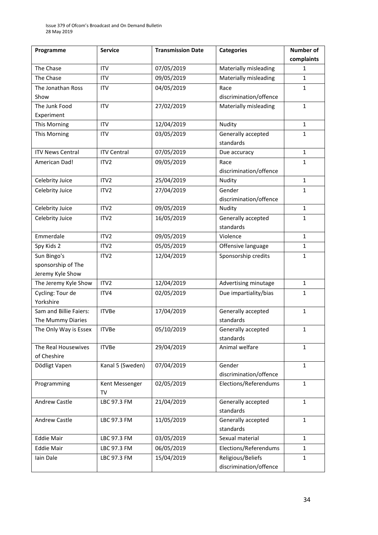| Programme               | <b>Service</b>     | <b>Transmission Date</b> | <b>Categories</b>                | <b>Number of</b> |
|-------------------------|--------------------|--------------------------|----------------------------------|------------------|
|                         |                    |                          |                                  | complaints       |
| The Chase               | <b>ITV</b>         | 07/05/2019               | Materially misleading            | 1                |
| The Chase               | <b>ITV</b>         | 09/05/2019               | Materially misleading            | $\mathbf{1}$     |
| The Jonathan Ross       | <b>ITV</b>         | 04/05/2019               | Race                             | $\mathbf{1}$     |
| Show                    |                    |                          | discrimination/offence           |                  |
| The Junk Food           | <b>ITV</b>         | 27/02/2019               | Materially misleading            | $\mathbf{1}$     |
| Experiment              |                    |                          |                                  |                  |
| This Morning            | <b>ITV</b>         | 12/04/2019               | Nudity                           | $\mathbf{1}$     |
| This Morning            | <b>ITV</b>         | 03/05/2019               | Generally accepted               | $\mathbf{1}$     |
|                         |                    |                          | standards                        |                  |
| <b>ITV News Central</b> | <b>ITV Central</b> | 07/05/2019               | Due accuracy                     | $\mathbf{1}$     |
| American Dad!           | ITV <sub>2</sub>   | 09/05/2019               | Race                             | $\mathbf{1}$     |
|                         |                    |                          | discrimination/offence           |                  |
| Celebrity Juice         | ITV2               | 25/04/2019               | Nudity                           | $\mathbf{1}$     |
| Celebrity Juice         | ITV <sub>2</sub>   | 27/04/2019               | Gender                           | $\mathbf{1}$     |
|                         |                    |                          | discrimination/offence           |                  |
| Celebrity Juice         | ITV2               | 09/05/2019               | Nudity                           | $\mathbf{1}$     |
| Celebrity Juice         | ITV <sub>2</sub>   | 16/05/2019               | Generally accepted               | $\mathbf{1}$     |
|                         |                    |                          | standards                        |                  |
| Emmerdale               | ITV <sub>2</sub>   | 09/05/2019               | Violence                         | $\mathbf{1}$     |
| Spy Kids 2              | ITV <sub>2</sub>   | 05/05/2019               | Offensive language               | $\mathbf{1}$     |
| Sun Bingo's             | ITV <sub>2</sub>   | 12/04/2019               | Sponsorship credits              | $\mathbf{1}$     |
| sponsorship of The      |                    |                          |                                  |                  |
| Jeremy Kyle Show        |                    |                          |                                  |                  |
| The Jeremy Kyle Show    | ITV <sub>2</sub>   | 12/04/2019               | Advertising minutage             | $\mathbf{1}$     |
| Cycling: Tour de        | ITV4               | 02/05/2019               | Due impartiality/bias            | $\mathbf{1}$     |
| Yorkshire               |                    |                          |                                  |                  |
| Sam and Billie Faiers:  | <b>ITVBe</b>       | 17/04/2019               | Generally accepted               | $\mathbf{1}$     |
| The Mummy Diaries       |                    |                          | standards                        |                  |
| The Only Way is Essex   | <b>ITVBe</b>       | 05/10/2019               | Generally accepted               | $\mathbf{1}$     |
|                         |                    |                          | standards                        |                  |
| The Real Housewives     | <b>ITVBe</b>       | 29/04/2019               | Animal welfare                   | $\mathbf{1}$     |
| of Cheshire             |                    |                          |                                  |                  |
| Dödligt Vapen           | Kanal 5 (Sweden)   | 07/04/2019               | Gender<br>discrimination/offence | $\mathbf{1}$     |
| Programming             | Kent Messenger     | 02/05/2019               | Elections/Referendums            | $\mathbf{1}$     |
|                         | TV                 |                          |                                  |                  |
| Andrew Castle           | LBC 97.3 FM        | 21/04/2019               | Generally accepted               | $\mathbf{1}$     |
|                         |                    |                          | standards                        |                  |
| Andrew Castle           | LBC 97.3 FM        | 11/05/2019               | Generally accepted               | $\mathbf{1}$     |
|                         |                    |                          | standards                        |                  |
| <b>Eddie Mair</b>       | LBC 97.3 FM        | 03/05/2019               | Sexual material                  | $\mathbf{1}$     |
| <b>Eddie Mair</b>       | LBC 97.3 FM        | 06/05/2019               | Elections/Referendums            | $\mathbf{1}$     |
| Iain Dale               | LBC 97.3 FM        | 15/04/2019               | Religious/Beliefs                | $\mathbf{1}$     |
|                         |                    |                          | discrimination/offence           |                  |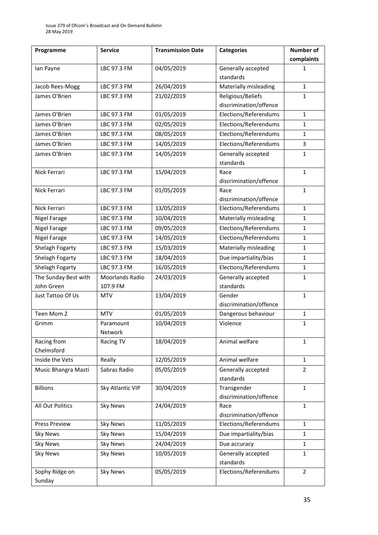| Programme               | <b>Service</b>         | <b>Transmission Date</b> | <b>Categories</b>               | <b>Number of</b> |
|-------------------------|------------------------|--------------------------|---------------------------------|------------------|
|                         |                        |                          |                                 | complaints       |
| lan Payne               | LBC 97.3 FM            | 04/05/2019               | Generally accepted              | 1                |
|                         |                        |                          | standards                       |                  |
| Jacob Rees-Mogg         | LBC 97.3 FM            | 26/04/2019               | Materially misleading           | $\mathbf{1}$     |
| James O'Brien           | LBC 97.3 FM            | 21/02/2019               | Religious/Beliefs               | 1                |
|                         |                        |                          | discrimination/offence          |                  |
| James O'Brien           | LBC 97.3 FM            | 01/05/2019               | Elections/Referendums           | $\mathbf{1}$     |
| James O'Brien           | LBC 97.3 FM            | 02/05/2019               | Elections/Referendums           | $\mathbf{1}$     |
| James O'Brien           | LBC 97.3 FM            | 08/05/2019               | Elections/Referendums           | 1                |
| James O'Brien           | LBC 97.3 FM            | 14/05/2019               | Elections/Referendums           | 3                |
| James O'Brien           | LBC 97.3 FM            | 14/05/2019               | Generally accepted<br>standards | 1                |
| Nick Ferrari            | LBC 97.3 FM            | 15/04/2019               | Race                            | $\mathbf{1}$     |
|                         |                        |                          | discrimination/offence          |                  |
| Nick Ferrari            | LBC 97.3 FM            | 01/05/2019               | Race                            | $\mathbf{1}$     |
|                         |                        |                          | discrimination/offence          |                  |
| Nick Ferrari            | LBC 97.3 FM            | 13/05/2019               | Elections/Referendums           | $\mathbf{1}$     |
| <b>Nigel Farage</b>     | LBC 97.3 FM            | 10/04/2019               | Materially misleading           | $\mathbf{1}$     |
| Nigel Farage            | LBC 97.3 FM            | 09/05/2019               | Elections/Referendums           | $\mathbf{1}$     |
| <b>Nigel Farage</b>     | LBC 97.3 FM            | 14/05/2019               | Elections/Referendums           | $\mathbf{1}$     |
| Shelagh Fogarty         | LBC 97.3 FM            | 15/03/2019               | Materially misleading           | $\mathbf{1}$     |
| Shelagh Fogarty         | LBC 97.3 FM            | 18/04/2019               | Due impartiality/bias           | 1                |
| Shelagh Fogarty         | LBC 97.3 FM            | 16/05/2019               | Elections/Referendums           | $\mathbf{1}$     |
| The Sunday Best with    | <b>Moorlands Radio</b> | 24/03/2019               | Generally accepted              | $\mathbf{1}$     |
| John Green              | 107.9 FM               |                          | standards                       |                  |
| Just Tattoo Of Us       | <b>MTV</b>             | 13/04/2019               | Gender                          | $\mathbf{1}$     |
|                         |                        |                          | discrimination/offence          |                  |
| Teen Mom 2              | <b>MTV</b>             | 01/05/2019               | Dangerous behaviour             | $\mathbf{1}$     |
| Grimm                   | Paramount              | 10/04/2019               | Violence                        | $\mathbf 1$      |
|                         | Network                |                          |                                 |                  |
| Racing from             | <b>Racing TV</b>       | 18/04/2019               | Animal welfare                  | $\mathbf{1}$     |
| Chelmsford              |                        | 12/05/2019               |                                 |                  |
| Inside the Vets         | Really                 |                          | Animal welfare                  | $\mathbf{1}$     |
| Music Bhangra Masti     | Sabras Radio           | 05/05/2019               | Generally accepted<br>standards | $\overline{2}$   |
| <b>Billions</b>         | Sky Atlantic VIP       | 30/04/2019               | Transgender                     | $\mathbf{1}$     |
|                         |                        |                          | discrimination/offence          |                  |
| <b>All Out Politics</b> | <b>Sky News</b>        | 24/04/2019               | Race                            | $\mathbf{1}$     |
|                         |                        |                          | discrimination/offence          |                  |
| <b>Press Preview</b>    | <b>Sky News</b>        | 11/05/2019               | Elections/Referendums           | $\mathbf{1}$     |
| Sky News                | Sky News               | 15/04/2019               | Due impartiality/bias           | $\mathbf{1}$     |
| <b>Sky News</b>         | <b>Sky News</b>        | 24/04/2019               | Due accuracy                    | $\mathbf{1}$     |
| <b>Sky News</b>         | <b>Sky News</b>        | 10/05/2019               | Generally accepted              | $\mathbf{1}$     |
|                         |                        |                          | standards                       |                  |
| Sophy Ridge on          | <b>Sky News</b>        | 05/05/2019               | Elections/Referendums           | $\overline{2}$   |
| Sunday                  |                        |                          |                                 |                  |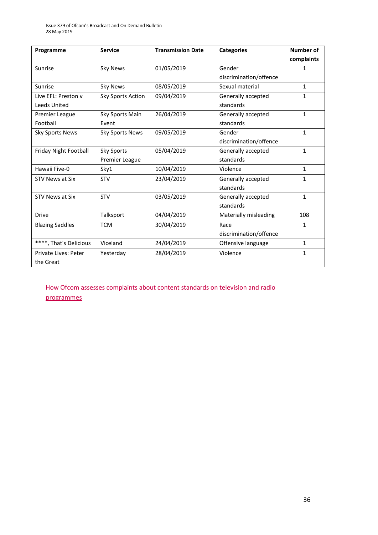| Programme              | <b>Service</b>         | <b>Transmission Date</b> | <b>Categories</b>      | <b>Number of</b> |
|------------------------|------------------------|--------------------------|------------------------|------------------|
|                        |                        |                          |                        | complaints       |
| Sunrise                | <b>Sky News</b>        | 01/05/2019               | Gender                 | 1                |
|                        |                        |                          | discrimination/offence |                  |
| Sunrise                | <b>Sky News</b>        | 08/05/2019               | Sexual material        | $\mathbf{1}$     |
| Live EFL: Preston v    | Sky Sports Action      | 09/04/2019               | Generally accepted     | 1                |
| Leeds United           |                        |                          | standards              |                  |
| Premier League         | Sky Sports Main        | 26/04/2019               | Generally accepted     | $\mathbf{1}$     |
| Football               | Event                  |                          | standards              |                  |
| <b>Sky Sports News</b> | <b>Sky Sports News</b> | 09/05/2019               | Gender                 | $\mathbf{1}$     |
|                        |                        |                          | discrimination/offence |                  |
| Friday Night Football  | Sky Sports             | 05/04/2019               | Generally accepted     | $\mathbf{1}$     |
|                        | Premier League         |                          | standards              |                  |
| Hawaii Five-0          | Sky1                   | 10/04/2019               | Violence               | $\mathbf{1}$     |
| STV News at Six        | STV                    | 23/04/2019               | Generally accepted     | $\mathbf{1}$     |
|                        |                        |                          | standards              |                  |
| STV News at Six        | <b>STV</b>             | 03/05/2019               | Generally accepted     | $\mathbf{1}$     |
|                        |                        |                          | standards              |                  |
| <b>Drive</b>           | Talksport              | 04/04/2019               | Materially misleading  | 108              |
| <b>Blazing Saddles</b> | <b>TCM</b>             | 30/04/2019               | Race                   | $\mathbf{1}$     |
|                        |                        |                          | discrimination/offence |                  |
| ****, That's Delicious | Viceland               | 24/04/2019               | Offensive language     | $\mathbf{1}$     |
| Private Lives: Peter   | Yesterday              | 28/04/2019               | Violence               | $\mathbf{1}$     |
| the Great              |                        |                          |                        |                  |

[How Ofcom assesses complaints about content standards on television and radio](https://www.ofcom.org.uk/__data/assets/pdf_file/0020/55109/breaches-content-standards.pdf)  [programmes](https://www.ofcom.org.uk/__data/assets/pdf_file/0020/55109/breaches-content-standards.pdf)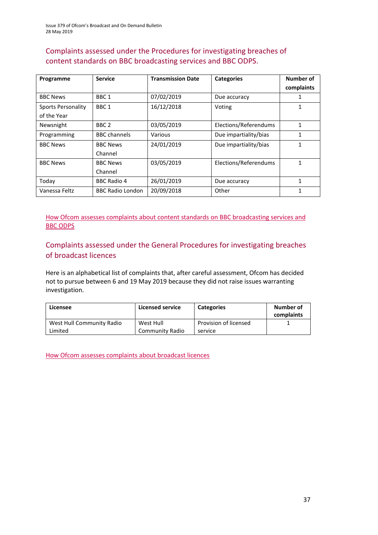### Complaints assessed under the Procedures for investigating breaches of content standards on BBC broadcasting services and BBC ODPS.

| Programme                                | <b>Service</b>             | <b>Transmission Date</b> | <b>Categories</b>     | Number of<br>complaints |
|------------------------------------------|----------------------------|--------------------------|-----------------------|-------------------------|
| <b>BBC News</b>                          | BBC <sub>1</sub>           | 07/02/2019               | Due accuracy          |                         |
| <b>Sports Personality</b><br>of the Year | BBC <sub>1</sub>           | 16/12/2018               | Voting                |                         |
| Newsnight                                | BBC <sub>2</sub>           | 03/05/2019               | Elections/Referendums | 1                       |
| Programming                              | <b>BBC</b> channels        | Various                  | Due impartiality/bias | 1                       |
| <b>BBC News</b>                          | <b>BBC News</b><br>Channel | 24/01/2019               | Due impartiality/bias | 1                       |
| <b>BBC News</b>                          | <b>BBC News</b><br>Channel | 03/05/2019               | Elections/Referendums | 1                       |
| Today                                    | <b>BBC Radio 4</b>         | 26/01/2019               | Due accuracy          | 1                       |
| Vanessa Feltz                            | <b>BBC Radio London</b>    | 20/09/2018               | Other                 | 1                       |

[How Ofcom assesses complaints about content standards](https://www.ofcom.org.uk/__data/assets/pdf_file/0002/100100/Procedures-for-investigating-breaches-of-content-standards-on-BBC-broadcasting-services-and-BBC-on-demand-programme-services.pdf) on BBC broadcasting services and [BBC ODPS](https://www.ofcom.org.uk/__data/assets/pdf_file/0002/100100/Procedures-for-investigating-breaches-of-content-standards-on-BBC-broadcasting-services-and-BBC-on-demand-programme-services.pdf)

#### Complaints assessed under the General Procedures for investigating breaches of broadcast licences

Here is an alphabetical list of complaints that, after careful assessment, Ofcom has decided not to pursue between 6 and 19 May 2019 because they did not raise issues warranting investigation.

| Licensee                  | <b>Licensed service</b> | <b>Categories</b>     | Number of<br>complaints |
|---------------------------|-------------------------|-----------------------|-------------------------|
| West Hull Community Radio | West Hull               | Provision of licensed |                         |
| Limited                   | Community Radio         | service               |                         |

[How Ofcom assesses complaints about broadcast licences](https://www.ofcom.org.uk/__data/assets/pdf_file/0019/31942/general-procedures.pdf)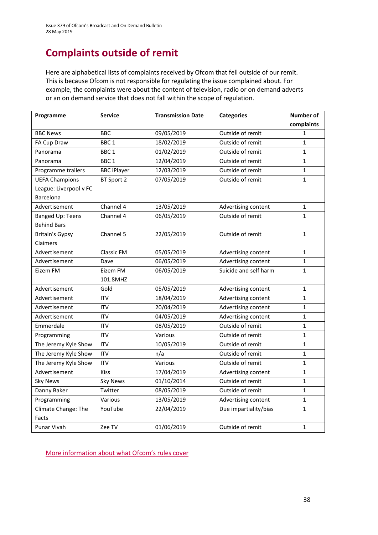# **Complaints outside of remit**

Here are alphabetical lists of complaints received by Ofcom that fell outside of our remit. This is because Ofcom is not responsible for regulating the issue complained about. For example, the complaints were about the content of television, radio or on demand adverts or an on demand service that does not fall within the scope of regulation.

| Programme               | <b>Service</b>     | <b>Transmission Date</b> | <b>Categories</b>     | <b>Number of</b> |
|-------------------------|--------------------|--------------------------|-----------------------|------------------|
|                         |                    |                          |                       | complaints       |
| <b>BBC News</b>         | <b>BBC</b>         | 09/05/2019               | Outside of remit      | 1                |
| FA Cup Draw             | BBC <sub>1</sub>   | 18/02/2019               | Outside of remit      | $\mathbf{1}$     |
| Panorama                | BBC <sub>1</sub>   | 01/02/2019               | Outside of remit      | $\mathbf{1}$     |
| Panorama                | BBC <sub>1</sub>   | 12/04/2019               | Outside of remit      | $\mathbf{1}$     |
| Programme trailers      | <b>BBC iPlayer</b> | 12/03/2019               | Outside of remit      | $\mathbf{1}$     |
| <b>UEFA Champions</b>   | BT Sport 2         | 07/05/2019               | Outside of remit      | $\mathbf{1}$     |
| League: Liverpool v FC  |                    |                          |                       |                  |
| Barcelona               |                    |                          |                       |                  |
| Advertisement           | Channel 4          | 13/05/2019               | Advertising content   | 1                |
| <b>Banged Up: Teens</b> | Channel 4          | 06/05/2019               | Outside of remit      | $\overline{1}$   |
| <b>Behind Bars</b>      |                    |                          |                       |                  |
| <b>Britain's Gypsy</b>  | Channel 5          | 22/05/2019               | Outside of remit      | $\mathbf{1}$     |
| Claimers                |                    |                          |                       |                  |
| Advertisement           | <b>Classic FM</b>  | 05/05/2019               | Advertising content   | $\mathbf{1}$     |
| Advertisement           | Dave               | 06/05/2019               | Advertising content   | $\mathbf{1}$     |
| Eizem FM                | Eizem FM           | 06/05/2019               | Suicide and self harm | $\mathbf{1}$     |
|                         | 101.8MHZ           |                          |                       |                  |
| Advertisement           | Gold               | 05/05/2019               | Advertising content   | $\mathbf{1}$     |
| Advertisement           | <b>ITV</b>         | 18/04/2019               | Advertising content   | $\mathbf{1}$     |
| Advertisement           | <b>ITV</b>         | 20/04/2019               | Advertising content   | $\mathbf{1}$     |
| Advertisement           | <b>ITV</b>         | 04/05/2019               | Advertising content   | $\mathbf{1}$     |
| Emmerdale               | <b>ITV</b>         | 08/05/2019               | Outside of remit      | $\mathbf{1}$     |
| Programming             | <b>ITV</b>         | Various                  | Outside of remit      | 1                |
| The Jeremy Kyle Show    | <b>ITV</b>         | 10/05/2019               | Outside of remit      | $\mathbf{1}$     |
| The Jeremy Kyle Show    | <b>ITV</b>         | n/a                      | Outside of remit      | $\mathbf{1}$     |
| The Jeremy Kyle Show    | <b>ITV</b>         | Various                  | Outside of remit      | 1                |
| Advertisement           | <b>Kiss</b>        | 17/04/2019               | Advertising content   | $\mathbf{1}$     |
| <b>Sky News</b>         | <b>Sky News</b>    | 01/10/2014               | Outside of remit      | $\mathbf{1}$     |
| Danny Baker             | Twitter            | 08/05/2019               | Outside of remit      | $\mathbf{1}$     |
| Programming             | Various            | 13/05/2019               | Advertising content   | $\mathbf{1}$     |
| Climate Change: The     | YouTube            | 22/04/2019               | Due impartiality/bias | $\mathbf{1}$     |
| Facts                   |                    |                          |                       |                  |
| Punar Vivah             | Zee TV             | 01/06/2019               | Outside of remit      | $\mathbf{1}$     |

M[ore information about what Ofcom's rules cover](https://www.ofcom.org.uk/tv-radio-and-on-demand/how-to-report-a-complaint/what-does-ofcom-cover)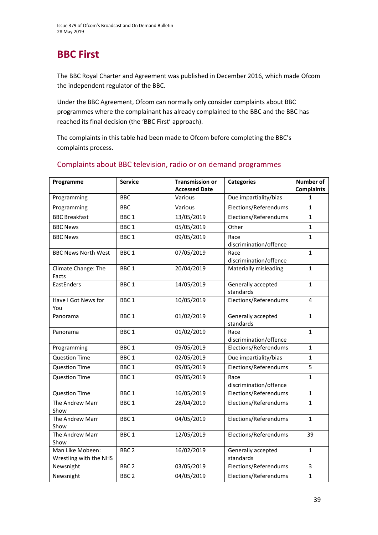# **BBC First**

The BBC Royal Charter and Agreement was published in December 2016, which made Ofcom the independent regulator of the BBC.

Under the BBC Agreement, Ofcom can normally only consider complaints about BBC programmes where the complainant has already complained to the BBC and the BBC has reached its final decision (the 'BBC First' approach).

The complaints in this table had been made to Ofcom before completing the BBC's complaints process.

| Programme                                  | <b>Service</b>   | <b>Transmission or</b><br><b>Accessed Date</b> | <b>Categories</b>                                        | <b>Number of</b><br><b>Complaints</b> |
|--------------------------------------------|------------------|------------------------------------------------|----------------------------------------------------------|---------------------------------------|
| Programming                                | <b>BBC</b>       | Various                                        | Due impartiality/bias                                    | 1                                     |
| Programming                                | <b>BBC</b>       | Various                                        | Elections/Referendums                                    | $\mathbf{1}$                          |
| <b>BBC Breakfast</b>                       | BBC <sub>1</sub> | 13/05/2019                                     | Elections/Referendums                                    | $\mathbf{1}$                          |
| <b>BBC News</b>                            | BBC <sub>1</sub> | 05/05/2019                                     | Other                                                    | $\mathbf{1}$                          |
| <b>BBC News</b>                            | BBC <sub>1</sub> | 09/05/2019                                     | Race                                                     | $\mathbf{1}$                          |
| <b>BBC News North West</b>                 | BBC <sub>1</sub> | 07/05/2019                                     | discrimination/offence<br>Race<br>discrimination/offence | $\mathbf{1}$                          |
| Climate Change: The<br>Facts               | BBC <sub>1</sub> | 20/04/2019                                     | Materially misleading                                    | $\mathbf{1}$                          |
| EastEnders                                 | BBC <sub>1</sub> | 14/05/2019                                     | Generally accepted<br>standards                          | $\mathbf{1}$                          |
| Have I Got News for<br>You                 | BBC <sub>1</sub> | 10/05/2019                                     | Elections/Referendums                                    | 4                                     |
| Panorama                                   | BBC <sub>1</sub> | 01/02/2019                                     | Generally accepted<br>standards                          | $\mathbf{1}$                          |
| Panorama                                   | BBC <sub>1</sub> | 01/02/2019                                     | Race<br>discrimination/offence                           | $\mathbf{1}$                          |
| Programming                                | BBC <sub>1</sub> | 09/05/2019                                     | Elections/Referendums                                    | $\mathbf{1}$                          |
| <b>Question Time</b>                       | BBC <sub>1</sub> | 02/05/2019                                     | Due impartiality/bias                                    | $\mathbf{1}$                          |
| <b>Question Time</b>                       | BBC <sub>1</sub> | 09/05/2019                                     | Elections/Referendums                                    | 5                                     |
| <b>Question Time</b>                       | BBC <sub>1</sub> | 09/05/2019                                     | Race<br>discrimination/offence                           | $\mathbf{1}$                          |
| <b>Question Time</b>                       | BBC <sub>1</sub> | 16/05/2019                                     | Elections/Referendums                                    | $\mathbf{1}$                          |
| <b>The Andrew Marr</b><br>Show             | BBC <sub>1</sub> | 28/04/2019                                     | Elections/Referendums                                    | $\mathbf{1}$                          |
| The Andrew Marr<br>Show                    | BBC <sub>1</sub> | 04/05/2019                                     | Elections/Referendums                                    | $\mathbf{1}$                          |
| The Andrew Marr<br>Show                    | BBC <sub>1</sub> | 12/05/2019                                     | Elections/Referendums                                    | 39                                    |
| Man Like Mobeen:<br>Wrestling with the NHS | BBC <sub>2</sub> | 16/02/2019                                     | Generally accepted<br>standards                          | $\mathbf{1}$                          |
| Newsnight                                  | BBC <sub>2</sub> | 03/05/2019                                     | Elections/Referendums                                    | 3                                     |
| Newsnight                                  | BBC <sub>2</sub> | 04/05/2019                                     | Elections/Referendums                                    | $\mathbf{1}$                          |

#### Complaints about BBC television, radio or on demand programmes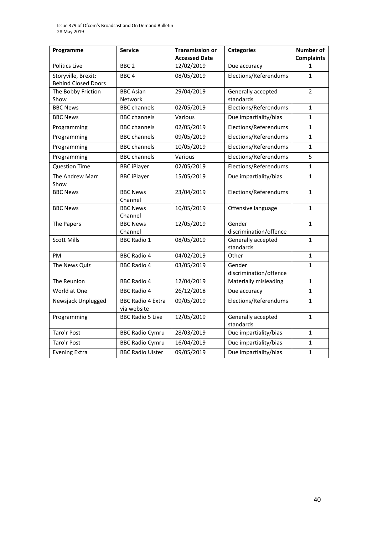| Programme                                         | <b>Service</b>                          | <b>Transmission or</b> | <b>Categories</b>                | <b>Number of</b>  |
|---------------------------------------------------|-----------------------------------------|------------------------|----------------------------------|-------------------|
|                                                   |                                         | <b>Accessed Date</b>   |                                  | <b>Complaints</b> |
| Politics Live                                     | BBC <sub>2</sub>                        | 12/02/2019             | Due accuracy                     | 1                 |
| Storyville, Brexit:<br><b>Behind Closed Doors</b> | BBC <sub>4</sub>                        | 08/05/2019             | Elections/Referendums            | $\mathbf{1}$      |
| The Bobby Friction                                | <b>BBC Asian</b>                        | 29/04/2019             | Generally accepted               | $\overline{2}$    |
| Show                                              | Network                                 |                        | standards                        |                   |
| <b>BBC News</b>                                   | <b>BBC</b> channels                     | 02/05/2019             | Elections/Referendums            | $\mathbf{1}$      |
| <b>BBC News</b>                                   | <b>BBC channels</b>                     | Various                | Due impartiality/bias            | 1                 |
| Programming                                       | <b>BBC</b> channels                     | 02/05/2019             | Elections/Referendums            | $\mathbf{1}$      |
| Programming                                       | <b>BBC channels</b>                     | 09/05/2019             | Elections/Referendums            | $\mathbf{1}$      |
| Programming                                       | <b>BBC</b> channels                     | 10/05/2019             | Elections/Referendums            | $\mathbf{1}$      |
| Programming                                       | <b>BBC</b> channels                     | Various                | Elections/Referendums            | 5                 |
| <b>Question Time</b>                              | <b>BBC iPlayer</b>                      | 02/05/2019             | Elections/Referendums            | $\mathbf{1}$      |
| The Andrew Marr<br>Show                           | <b>BBC iPlayer</b>                      | 15/05/2019             | Due impartiality/bias            | $\mathbf{1}$      |
| <b>BBC News</b>                                   | <b>BBC News</b><br>Channel              | 23/04/2019             | Elections/Referendums            | $\mathbf{1}$      |
| <b>BBC News</b>                                   | <b>BBC News</b><br>Channel              | 10/05/2019             | Offensive language               | $\mathbf{1}$      |
| The Papers                                        | <b>BBC News</b><br>Channel              | 12/05/2019             | Gender<br>discrimination/offence | $\mathbf{1}$      |
| <b>Scott Mills</b>                                | <b>BBC Radio 1</b>                      | 08/05/2019             | Generally accepted<br>standards  | 1                 |
| PM                                                | <b>BBC Radio 4</b>                      | 04/02/2019             | Other                            | $\mathbf{1}$      |
| The News Quiz                                     | <b>BBC Radio 4</b>                      | 03/05/2019             | Gender<br>discrimination/offence | $\mathbf{1}$      |
| The Reunion                                       | <b>BBC Radio 4</b>                      | 12/04/2019             | Materially misleading            | 1                 |
| World at One                                      | <b>BBC Radio 4</b>                      | 26/12/2018             | Due accuracy                     | $\mathbf{1}$      |
| Newsjack Unplugged                                | <b>BBC Radio 4 Extra</b><br>via website | 09/05/2019             | Elections/Referendums            | 1                 |
| Programming                                       | <b>BBC Radio 5 Live</b>                 | 12/05/2019             | Generally accepted<br>standards  | $\mathbf{1}$      |
| Taro'r Post                                       | <b>BBC Radio Cymru</b>                  | 28/03/2019             | Due impartiality/bias            | $\mathbf{1}$      |
| Taro'r Post                                       | <b>BBC Radio Cymru</b>                  | 16/04/2019             | Due impartiality/bias            | 1                 |
| <b>Evening Extra</b>                              | <b>BBC Radio Ulster</b>                 | 09/05/2019             | Due impartiality/bias            | $\mathbf{1}$      |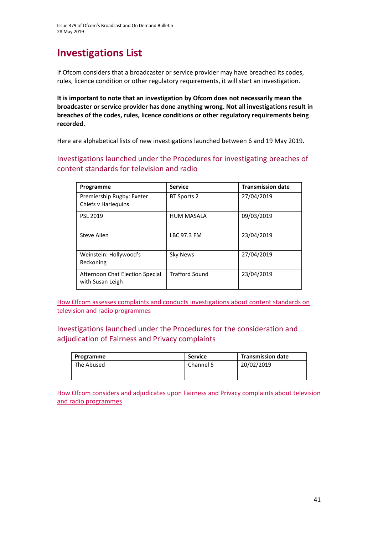# **Investigations List**

If Ofcom considers that a broadcaster or service provider may have breached its codes, rules, licence condition or other regulatory requirements, it will start an investigation.

**It is important to note that an investigation by Ofcom does not necessarily mean the broadcaster or service provider has done anything wrong. Not all investigations result in breaches of the codes, rules, licence conditions or other regulatory requirements being recorded.**

Here are alphabetical lists of new investigations launched between 6 and 19 May 2019.

Investigations launched under the Procedures for investigating breaches of content standards for television and radio

| Programme                                           | <b>Service</b>        | <b>Transmission date</b> |
|-----------------------------------------------------|-----------------------|--------------------------|
| Premiership Rugby: Exeter<br>Chiefs v Harleguins    | <b>BT Sports 2</b>    | 27/04/2019               |
| PSL 2019                                            | <b>HUM MASALA</b>     | 09/03/2019               |
| Steve Allen                                         | LBC 97.3 FM           | 23/04/2019               |
| Weinstein: Hollywood's<br>Reckoning                 | Sky News              | 27/04/2019               |
| Afternoon Chat Election Special<br>with Susan Leigh | <b>Trafford Sound</b> | 23/04/2019               |

[How Ofcom assesses complaints and conducts](https://www.ofcom.org.uk/__data/assets/pdf_file/0020/55109/breaches-content-standards.pdf) investigations about content standards on [television and radio programmes](https://www.ofcom.org.uk/__data/assets/pdf_file/0020/55109/breaches-content-standards.pdf)

#### Investigations launched under the Procedures for the consideration and adjudication of Fairness and Privacy complaints

| Programme  | <b>Service</b> | <b>Transmission date</b> |
|------------|----------------|--------------------------|
| The Abused | Channel 5      | 20/02/2019               |
|            |                |                          |

[How Ofcom considers and adjudicates upon Fairness and Privacy complaints about television](https://www.ofcom.org.uk/__data/assets/pdf_file/0031/57388/fairness-privacy-complaints.pdf)  [and radio programmes](https://www.ofcom.org.uk/__data/assets/pdf_file/0031/57388/fairness-privacy-complaints.pdf)